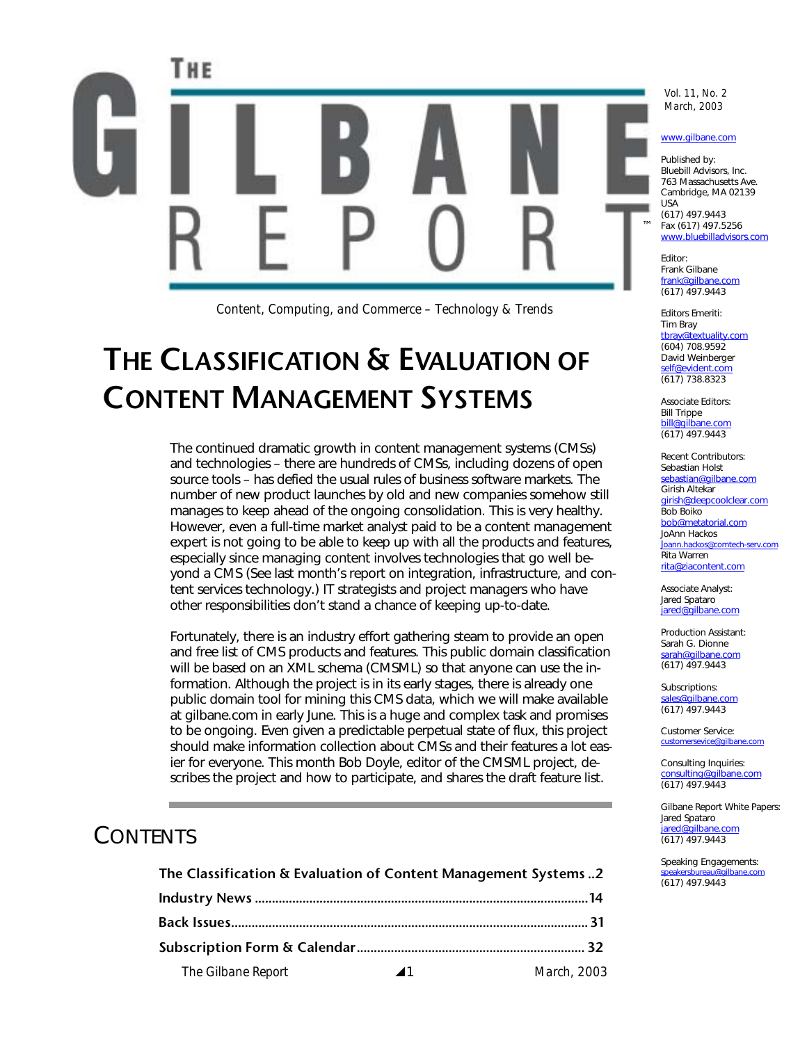

*Content, Computing, and Commerce – Technology & Trends*

# **THE CLASSIFICATION & EVALUATION OF CONTENT MANAGEMENT SYSTEMS**

The continued dramatic growth in content management systems (CMSs) and technologies – there are hundreds of CMSs, including dozens of open source tools – has defied the usual rules of business software markets. The number of new product launches by old and new companies somehow still manages to keep ahead of the ongoing consolidation. This is very healthy. However, even a full-time market analyst paid to be a content management expert is not going to be able to keep up with all the products and features, especially since managing content involves technologies that go well beyond a CMS (See last month's report on integration, infrastructure, and content services technology.) IT strategists and project managers who have other responsibilities don't stand a chance of keeping up-to-date.

Fortunately, there is an industry effort gathering steam to provide an open and free list of CMS products and features. This public domain classification will be based on an XML schema (CMSML) so that anyone can use the information. Although the project is in its early stages, there is already one public domain tool for mining this CMS data, which we will make available at gilbane.com in early June. This is a huge and complex task and promises to be ongoing. Even given a predictable perpetual state of flux, this project should make information collection about CMSs and their features a lot easier for everyone. This month Bob Doyle, editor of the CMSML project, describes the project and how to participate, and shares the draft feature list.

## **CONTENTS**

| The Classification & Evaluation of Content Management Systems 2 |
|-----------------------------------------------------------------|
|-----------------------------------------------------------------|

| The Gilbane Report | $\blacktriangle$ 1 | March, 2003 |  |  |  |
|--------------------|--------------------|-------------|--|--|--|

*Vol. 11, No. 2 March, 2003* 

#### www.gilbane.com

Published by: Bluebill Advisors, Inc. 763 Massachusetts Ave. Cambridge, MA 02139 (617) 497.9443 Fax (617) 497.5256 www.bluebilladvisors.com

Frank Gilbane frank@gilbane.com (617) 497.9443

Editors Emeriti: Tim Bray tbray@textuality.com (604) 708.9592 David Weinberger self@evident.com (617) 738.8323

Associate Editors: Bill Trippe bill@gilbane (617) 497.9443

Recent Contributors: Sebastian Holst sebastian@gilbane.com Girish Altekar girish@deepcoolclear.com Bob Boiko bob@metatorial.com JoAnn Hackos Joann.hackos@comtech-serv.com Rita Warren rita@ziacontent.com

Associate Analyst: Jared Spataro jared@gilbane.com

Production Assistant: Sarah G. Dionne sarah@gilbane.com (617) 497.9443

Subscriptions: sales@gilbane.com (617) 497.9443

Customer Service: customersevice@gilbar

Consulting Inquiries: consulting@gilbane.com (617) 497.9443

Gilbane Report White Papers: Jared Spataro iared@gilbane.com (617) 497.9443

Speaking Engagements: speakersbureau@gilbane.com (617) 497.9443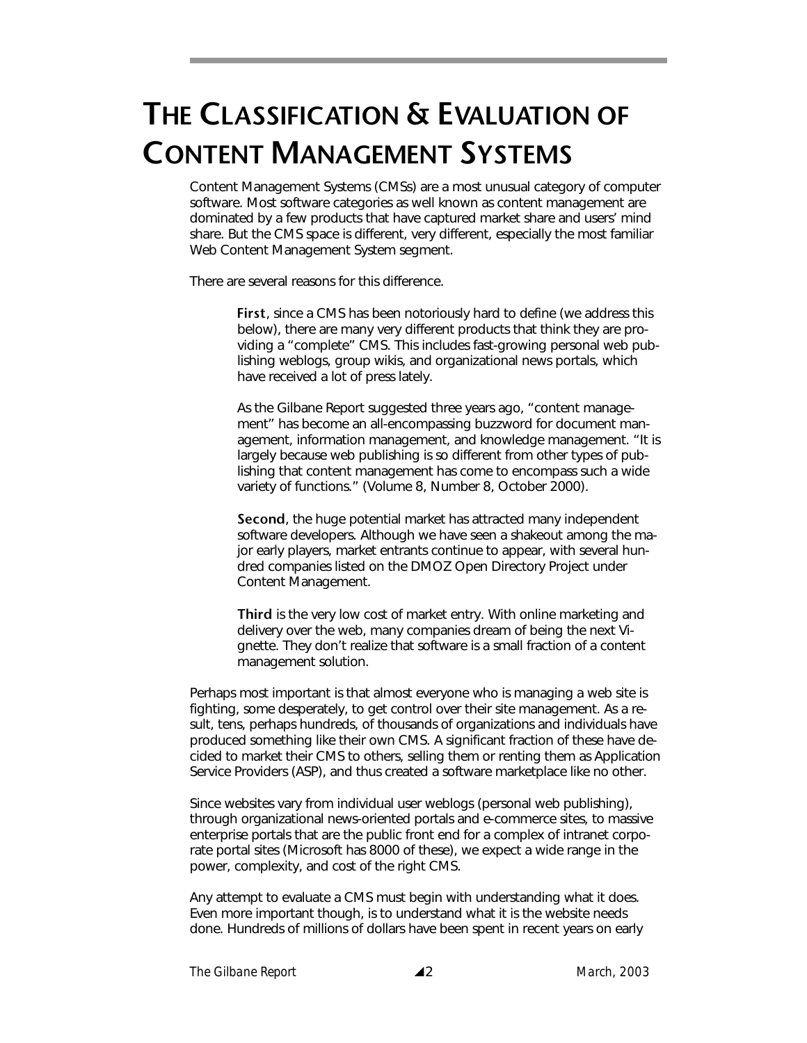# **THE CLASSIFICATION & EVALUATION OF CONTENT MANAGEMENT SYSTEMS**

Content Management Systems (CMSs) are a most unusual category of computer software. Most software categories as well known as content management are dominated by a few products that have captured market share and users' mind share. But the CMS space is different, very different, especially the most familiar Web Content Management System segment.

There are several reasons for this difference.

**First**, since a CMS has been notoriously hard to define (we address this below), there are many very different products that think they are providing a "complete" CMS. This includes fast-growing personal web publishing weblogs, group wikis, and organizational news portals, which have received a lot of press lately.

As the Gilbane Report suggested three years ago, "content management" has become an all-encompassing buzzword for document management, information management, and knowledge management. "It is largely because web publishing is so different from other types of publishing that content management has come to encompass such a wide variety of functions." (Volume 8, Number 8, October 2000).

**Second**, the huge potential market has attracted many independent software developers. Although we have seen a shakeout among the major early players, market entrants continue to appear, with several hundred companies listed on the DMOZ Open Directory Project under Content Management.

**Third** is the very low cost of market entry. With online marketing and delivery over the web, many companies dream of being the next Vignette. They don't realize that software is a small fraction of a content management solution.

Perhaps most important is that almost everyone who is managing a web site is fighting, some desperately, to get control over their site management. As a result, tens, perhaps hundreds, of thousands of organizations and individuals have produced something like their own CMS. A significant fraction of these have decided to market their CMS to others, selling them or renting them as Application Service Providers (ASP), and thus created a software marketplace like no other.

Since websites vary from individual user weblogs (personal web publishing), through organizational news-oriented portals and e-commerce sites, to massive enterprise portals that are the public front end for a complex of intranet corporate portal sites (Microsoft has 8000 of these), we expect a wide range in the power, complexity, and cost of the right CMS.

Any attempt to evaluate a CMS must begin with understanding what it does. Even more important though, is to understand what it is the website needs done. Hundreds of millions of dollars have been spent in recent years on early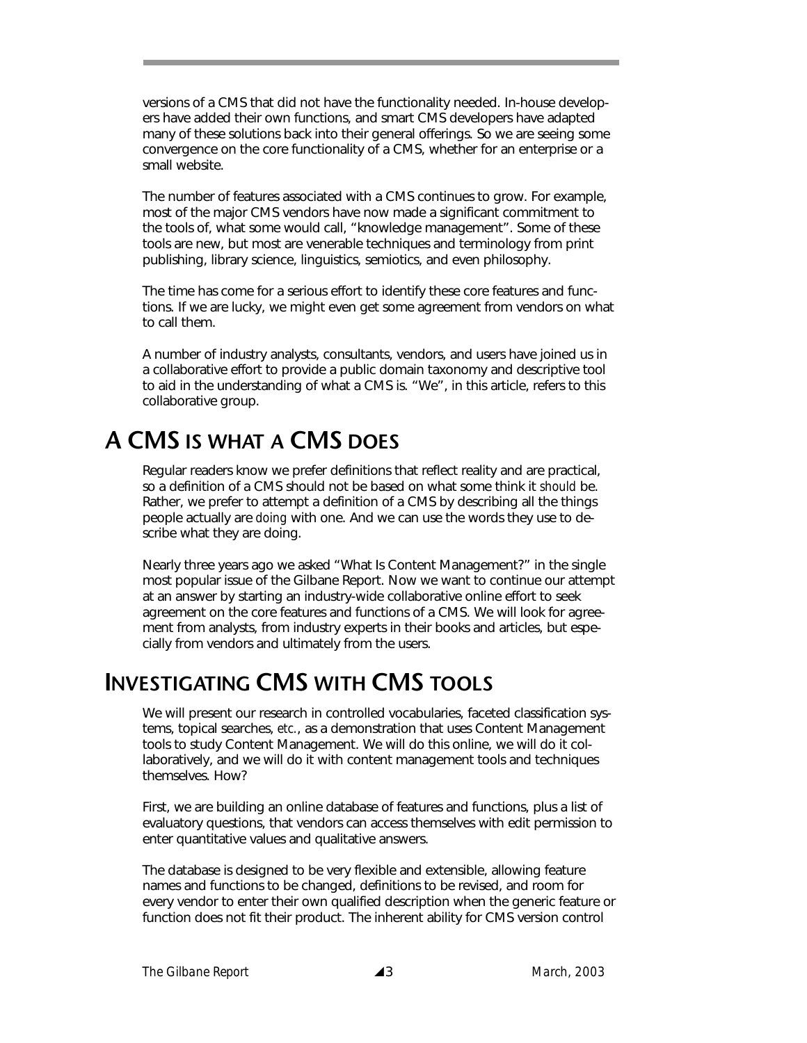versions of a CMS that did not have the functionality needed. In-house developers have added their own functions, and smart CMS developers have adapted many of these solutions back into their general offerings. So we are seeing some convergence on the core functionality of a CMS, whether for an enterprise or a small website.

The number of features associated with a CMS continues to grow. For example, most of the major CMS vendors have now made a significant commitment to the tools of, what some would call, "knowledge management". Some of these tools are new, but most are venerable techniques and terminology from print publishing, library science, linguistics, semiotics, and even philosophy.

The time has come for a serious effort to identify these core features and functions. If we are lucky, we might even get some agreement from vendors on what to call them.

A number of industry analysts, consultants, vendors, and users have joined us in a collaborative effort to provide a public domain taxonomy and descriptive tool to aid in the understanding of what a CMS is. "We", in this article, refers to this collaborative group.

# **A CMS IS WHAT A CMS DOES**

Regular readers know we prefer definitions that reflect reality and are practical, so a definition of a CMS should not be based on what some think it *should* be. Rather, we prefer to attempt a definition of a CMS by describing all the things people actually are *doing* with one. And we can use the words they use to describe what they are doing.

Nearly three years ago we asked "What Is Content Management?" in the single most popular issue of the Gilbane Report. Now we want to continue our attempt at an answer by starting an industry-wide collaborative online effort to seek agreement on the core features and functions of a CMS. We will look for agreement from analysts, from industry experts in their books and articles, but especially from vendors and ultimately from the users.

## **INVESTIGATING CMS WITH CMS TOOLS**

We will present our research in controlled vocabularies, faceted classification systems, topical searches, *etc.*, as a demonstration that uses Content Management tools to study Content Management. We will do this online, we will do it collaboratively, and we will do it with content management tools and techniques themselves. How?

First, we are building an online database of features and functions, plus a list of evaluatory questions, that vendors can access themselves with edit permission to enter quantitative values and qualitative answers.

The database is designed to be very flexible and extensible, allowing feature names and functions to be changed, definitions to be revised, and room for every vendor to enter their own qualified description when the generic feature or function does not fit their product. The inherent ability for CMS version control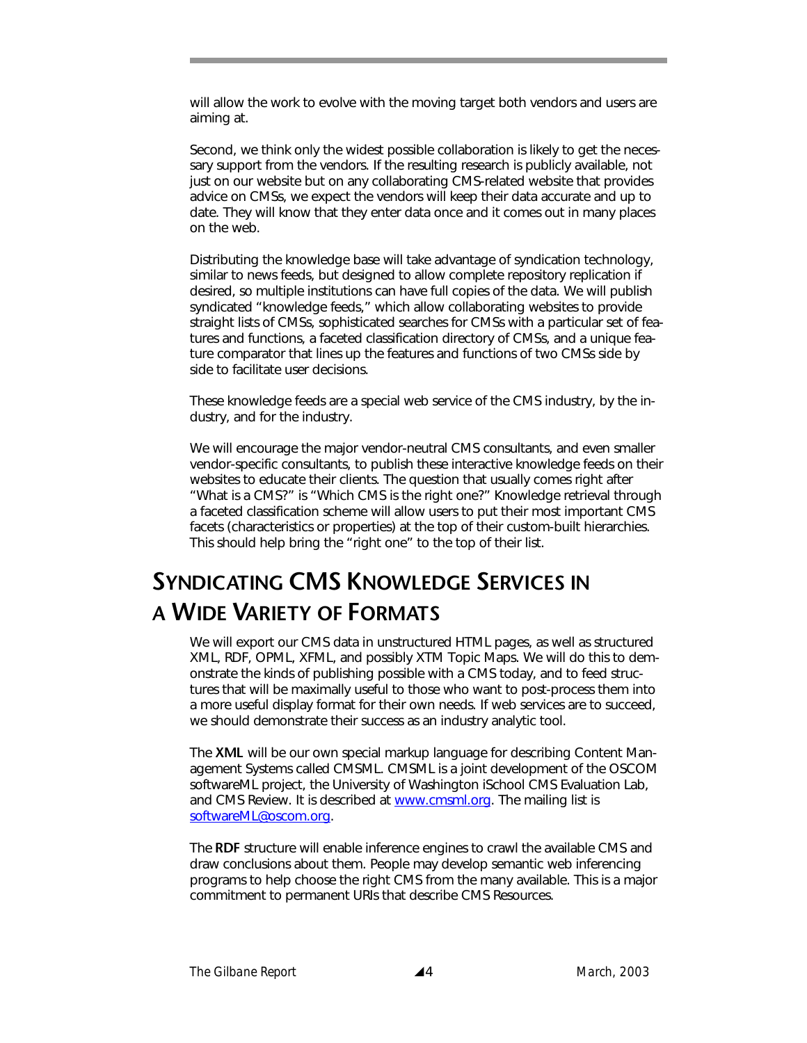will allow the work to evolve with the moving target both vendors and users are aiming at.

Second, we think only the widest possible collaboration is likely to get the necessary support from the vendors. If the resulting research is publicly available, not just on our website but on any collaborating CMS-related website that provides advice on CMSs, we expect the vendors will keep their data accurate and up to date. They will know that they enter data once and it comes out in many places on the web.

Distributing the knowledge base will take advantage of syndication technology, similar to news feeds, but designed to allow complete repository replication if desired, so multiple institutions can have full copies of the data. We will publish syndicated "knowledge feeds," which allow collaborating websites to provide straight lists of CMSs, sophisticated searches for CMSs with a particular set of features and functions, a faceted classification directory of CMSs, and a unique feature comparator that lines up the features and functions of two CMSs side by side to facilitate user decisions.

These knowledge feeds are a special web service of the CMS industry, by the industry, and for the industry.

We will encourage the major vendor-neutral CMS consultants, and even smaller vendor-specific consultants, to publish these interactive knowledge feeds on their websites to educate their clients. The question that usually comes right after "What is a CMS?" is "Which CMS is the right one?" Knowledge retrieval through a faceted classification scheme will allow users to put their most important CMS facets (characteristics or properties) at the top of their custom-built hierarchies. This should help bring the "right one" to the top of their list.

# **SYNDICATING CMS KNOWLEDGE SERVICES IN A WIDE VARIETY OF FORMATS**

We will export our CMS data in unstructured HTML pages, as well as structured XML, RDF, OPML, XFML, and possibly XTM Topic Maps. We will do this to demonstrate the kinds of publishing possible with a CMS today, and to feed structures that will be maximally useful to those who want to post-process them into a more useful display format for their own needs. If web services are to succeed, we should demonstrate their success as an industry analytic tool.

The **XML** will be our own special markup language for describing Content Management Systems called CMSML. CMSML is a joint development of the OSCOM softwareML project, the University of Washington iSchool CMS Evaluation Lab, and CMS Review. It is described at www.cmsml.org. The mailing list is softwareML@oscom.org.

The **RDF** structure will enable inference engines to crawl the available CMS and draw conclusions about them. People may develop semantic web inferencing programs to help choose the right CMS from the many available. This is a major commitment to permanent URIs that describe CMS Resources.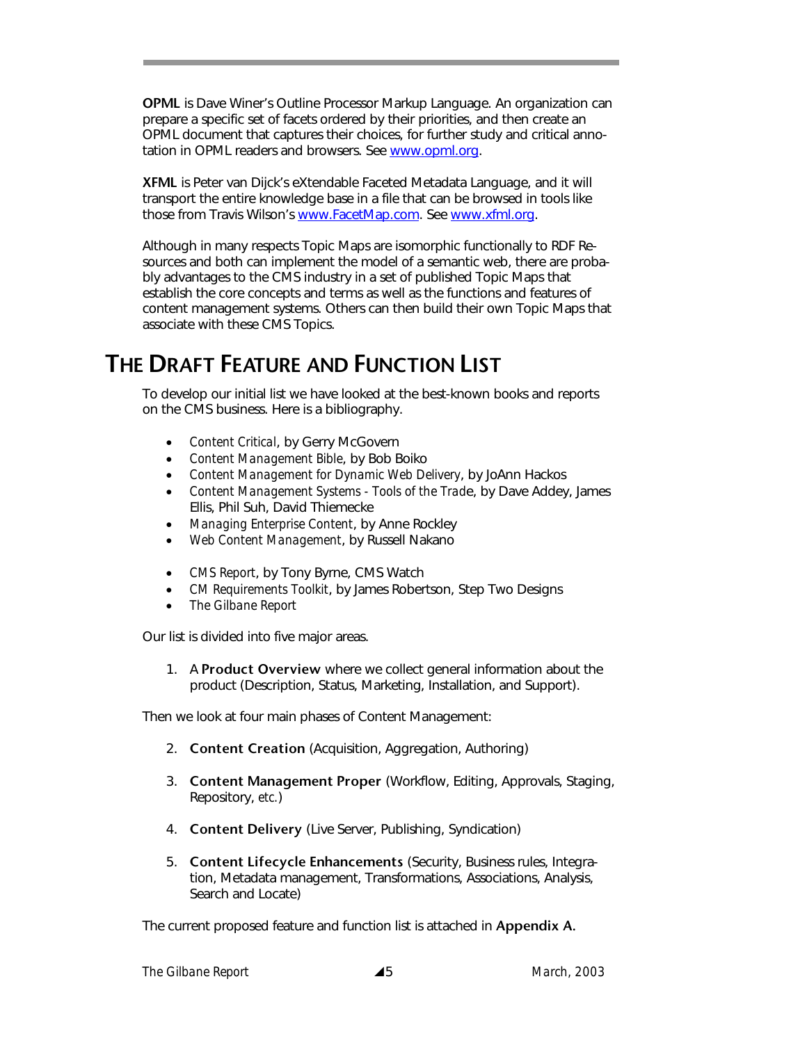**OPML** is Dave Winer's Outline Processor Markup Language. An organization can prepare a specific set of facets ordered by their priorities, and then create an OPML document that captures their choices, for further study and critical annotation in OPML readers and browsers. See www.opml.org.

**XFML** is Peter van Dijck's eXtendable Faceted Metadata Language, and it will transport the entire knowledge base in a file that can be browsed in tools like those from Travis Wilson's www.FacetMap.com. See www.xfml.org.

Although in many respects Topic Maps are isomorphic functionally to RDF Resources and both can implement the model of a semantic web, there are probably advantages to the CMS industry in a set of published Topic Maps that establish the core concepts and terms as well as the functions and features of content management systems. Others can then build their own Topic Maps that associate with these CMS Topics.

# **THE DRAFT FEATURE AND FUNCTION LIST**

To develop our initial list we have looked at the best-known books and reports on the CMS business. Here is a bibliography.

- *Content Critical*, by Gerry McGovern
- *Content Management Bible*, by Bob Boiko
- *Content Management for Dynamic Web Delivery*, by JoAnn Hackos
- *Content Management Systems Tools of the Trad*e, by Dave Addey, James Ellis, Phil Suh, David Thiemecke
- *Managing Enterprise Content*, by Anne Rockley
- *Web Content Management*, by Russell Nakano
- *CMS Report*, by Tony Byrne, CMS Watch
- *CM Requirements Toolkit*, by James Robertson, Step Two Designs
- *The Gilbane Report*

Our list is divided into five major areas.

1. A **Product Overview** where we collect general information about the product (Description, Status, Marketing, Installation, and Support).

Then we look at four main phases of Content Management:

- 2. **Content Creation** (Acquisition, Aggregation, Authoring)
- 3. **Content Management Proper** (Workflow, Editing, Approvals, Staging, Repository, *etc.*)
- 4. **Content Delivery** (Live Server, Publishing, Syndication)
- 5. **Content Lifecycle Enhancements** (Security, Business rules, Integration, Metadata management, Transformations, Associations, Analysis, Search and Locate)

The current proposed feature and function list is attached in **Appendix A.**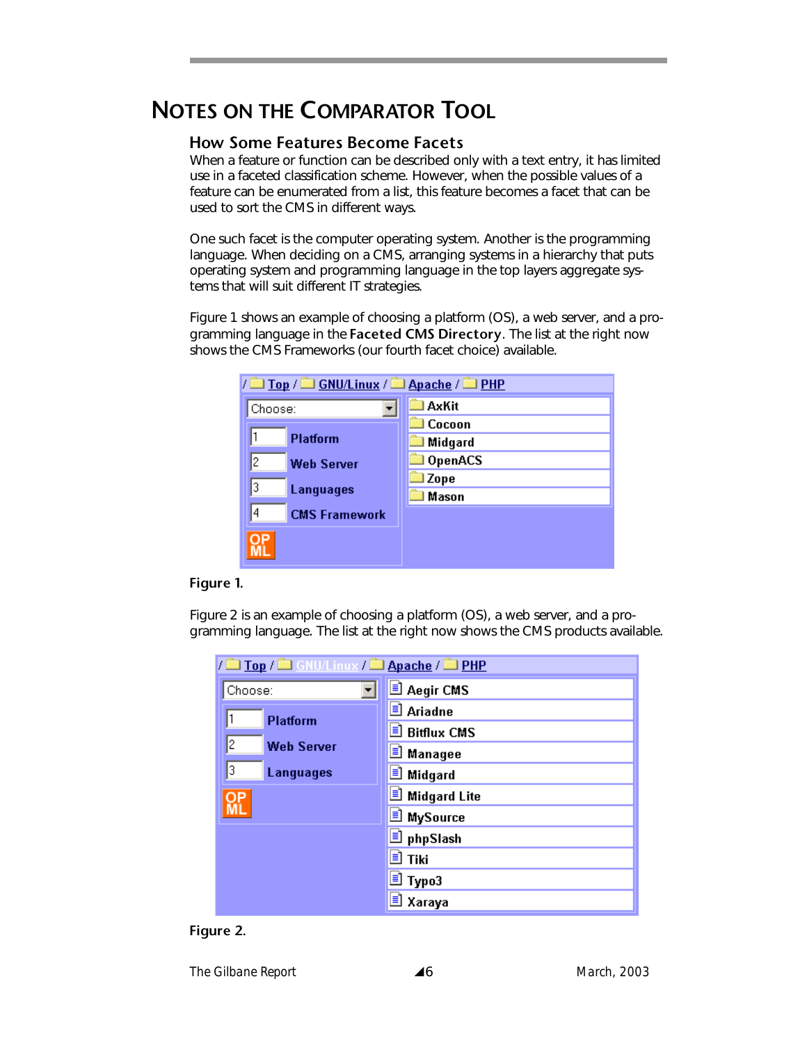## **NOTES ON THE COMPARATOR TOOL**

#### **How Some Features Become Facets**

When a feature or function can be described only with a text entry, it has limited use in a faceted classification scheme. However, when the possible values of a feature can be enumerated from a list, this feature becomes a facet that can be used to sort the CMS in different ways.

One such facet is the computer operating system. Another is the programming language. When deciding on a CMS, arranging systems in a hierarchy that puts operating system and programming language in the top layers aggregate systems that will suit different IT strategies.

Figure 1 shows an example of choosing a platform (OS), a web server, and a programming language in the **Faceted CMS Directory**. The list at the right now shows the CMS Frameworks (our fourth facet choice) available.

| $\sqrt{2}$ Top $\sqrt{2}$ GNU/Linux $\sqrt{2}$ Apache $\sqrt{2}$ PHP |  |  |  |  |  |
|----------------------------------------------------------------------|--|--|--|--|--|
| AxKit                                                                |  |  |  |  |  |
| Cocoon                                                               |  |  |  |  |  |
| Midgard                                                              |  |  |  |  |  |
| OpenACS                                                              |  |  |  |  |  |
| l Zope                                                               |  |  |  |  |  |
| Mason                                                                |  |  |  |  |  |
|                                                                      |  |  |  |  |  |
|                                                                      |  |  |  |  |  |
|                                                                      |  |  |  |  |  |
|                                                                      |  |  |  |  |  |

#### **Figure 1.**

Figure 2 is an example of choosing a platform (OS), a web server, and a programming language. The list at the right now shows the CMS products available.

| / Top / C GNU/Linux / C Apache / C PHP |                       |  |  |  |
|----------------------------------------|-----------------------|--|--|--|
| Choose:                                | 国 Aegir CMS           |  |  |  |
| <b>Platform</b>                        | <b>E</b> Ariadne      |  |  |  |
|                                        | ■ Bitflux CMS         |  |  |  |
| 12<br><b>Web Server</b>                | <b>E</b> Managee      |  |  |  |
| 3<br>Languages                         | <b>E</b> Midgard      |  |  |  |
| OP                                     | <b>J</b> Midgard Lite |  |  |  |
|                                        | <b>E</b> MySource     |  |  |  |
|                                        | D phpSlash            |  |  |  |
|                                        | <u>।</u> Tiki         |  |  |  |
|                                        | <mark>■</mark> Typo3  |  |  |  |
|                                        | 直 Хагауа              |  |  |  |

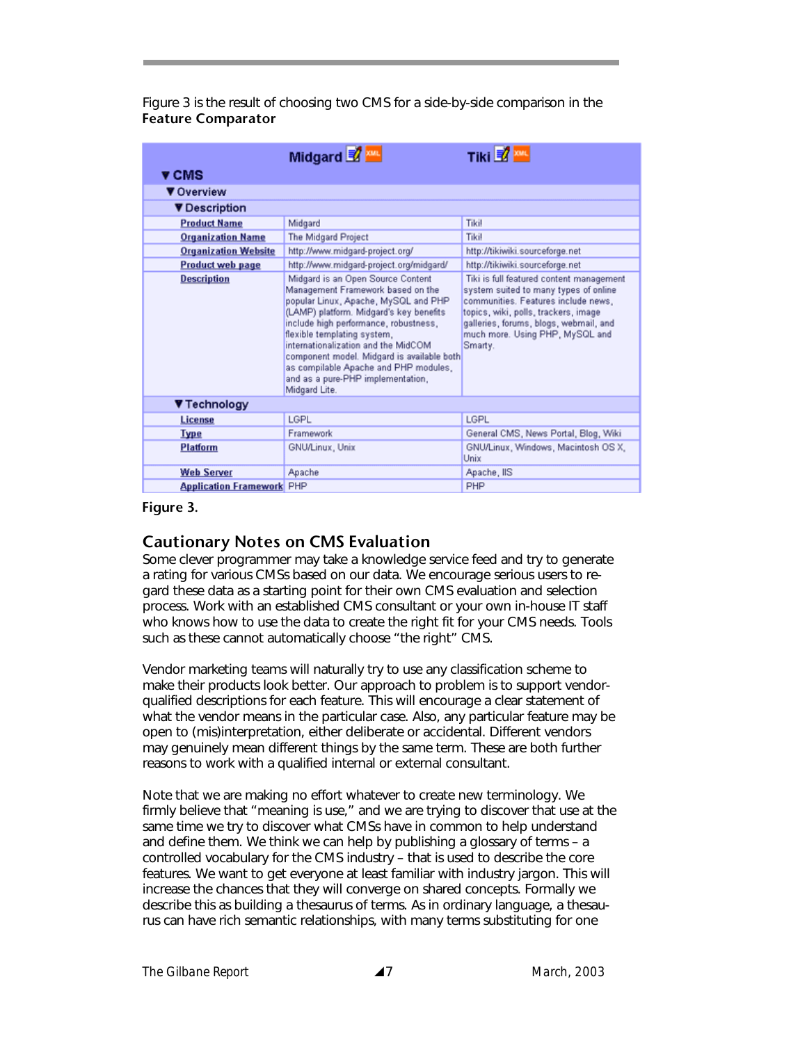Figure 3 is the result of choosing two CMS for a side-by-side comparison in the **Feature Comparator** 

|                                  | Midgard 2 m                                                                                                                                                                                                                                                                                                                                                                                                           | Tiki ₹ xw                                                                                                                                                                                                                                                |
|----------------------------------|-----------------------------------------------------------------------------------------------------------------------------------------------------------------------------------------------------------------------------------------------------------------------------------------------------------------------------------------------------------------------------------------------------------------------|----------------------------------------------------------------------------------------------------------------------------------------------------------------------------------------------------------------------------------------------------------|
| ▼ CMS                            |                                                                                                                                                                                                                                                                                                                                                                                                                       |                                                                                                                                                                                                                                                          |
| ▼ Overview                       |                                                                                                                                                                                                                                                                                                                                                                                                                       |                                                                                                                                                                                                                                                          |
| <b>V</b> Description             |                                                                                                                                                                                                                                                                                                                                                                                                                       |                                                                                                                                                                                                                                                          |
| <b>Product Name</b>              | Midgard                                                                                                                                                                                                                                                                                                                                                                                                               | Tikil                                                                                                                                                                                                                                                    |
| <b>Organization Name</b>         | The Midgard Project                                                                                                                                                                                                                                                                                                                                                                                                   | Tikil                                                                                                                                                                                                                                                    |
| <b>Organization Website</b>      | http://www.midgard-project.org/                                                                                                                                                                                                                                                                                                                                                                                       | http://tikiwiki.sourceforge.net                                                                                                                                                                                                                          |
| <b>Product web page</b>          | http://www.midgard-project.org/midgard/                                                                                                                                                                                                                                                                                                                                                                               | http://tikiwiki.sourceforge.net                                                                                                                                                                                                                          |
| <b>Description</b>               | Midgard is an Open Source Content<br>Management Framework based on the<br>popular Linux, Apache, MySQL and PHP<br>(LAMP) platform. Midgard's key benefits<br>include high performance, robustness,<br>flexible templating system,<br>internationalization and the MidCOM<br>component model. Midgard is available both<br>as compilable Apache and PHP modules,<br>and as a pure-PHP implementation,<br>Midgard Lite. | Tiki is full featured content management<br>system suited to many types of online<br>communities. Features include news,<br>topics, wiki, polls, trackers, image<br>galleries, forums, blogs, webmail, and<br>much more. Using PHP, MySQL and<br>Smarty. |
| ▼ Technology                     |                                                                                                                                                                                                                                                                                                                                                                                                                       |                                                                                                                                                                                                                                                          |
| License                          | LGPL                                                                                                                                                                                                                                                                                                                                                                                                                  | LGPL                                                                                                                                                                                                                                                     |
| <b>Type</b>                      | Framework                                                                                                                                                                                                                                                                                                                                                                                                             | General CMS, News Portal, Blog, Wiki                                                                                                                                                                                                                     |
| <b>Platform</b>                  | GNU/Linux, Unix                                                                                                                                                                                                                                                                                                                                                                                                       | GNU/Linux, Windows, Macintosh OS X,<br>Unix                                                                                                                                                                                                              |
| <b>Web Server</b>                | Apache                                                                                                                                                                                                                                                                                                                                                                                                                | Apache, IIS                                                                                                                                                                                                                                              |
| <b>Application Framework</b> PHP |                                                                                                                                                                                                                                                                                                                                                                                                                       | PHP                                                                                                                                                                                                                                                      |

#### **Figure 3.**

#### **Cautionary Notes on CMS Evaluation**

Some clever programmer may take a knowledge service feed and try to generate a rating for various CMSs based on our data. We encourage serious users to regard these data as a starting point for their own CMS evaluation and selection process. Work with an established CMS consultant or your own in-house IT staff who knows how to use the data to create the right fit for your CMS needs. Tools such as these cannot automatically choose "the right" CMS.

Vendor marketing teams will naturally try to use any classification scheme to make their products look better. Our approach to problem is to support vendorqualified descriptions for each feature. This will encourage a clear statement of what the vendor means in the particular case. Also, any particular feature may be open to (mis)interpretation, either deliberate or accidental. Different vendors may genuinely mean different things by the same term. These are both further reasons to work with a qualified internal or external consultant.

Note that we are making no effort whatever to create new terminology. We firmly believe that "meaning is use," and we are trying to discover that use at the same time we try to discover what CMSs have in common to help understand and define them. We think we can help by publishing a glossary of terms – a controlled vocabulary for the CMS industry – that is used to describe the core features. We want to get everyone at least familiar with industry jargon. This will increase the chances that they will converge on shared concepts. Formally we describe this as building a thesaurus of terms. As in ordinary language, a thesaurus can have rich semantic relationships, with many terms substituting for one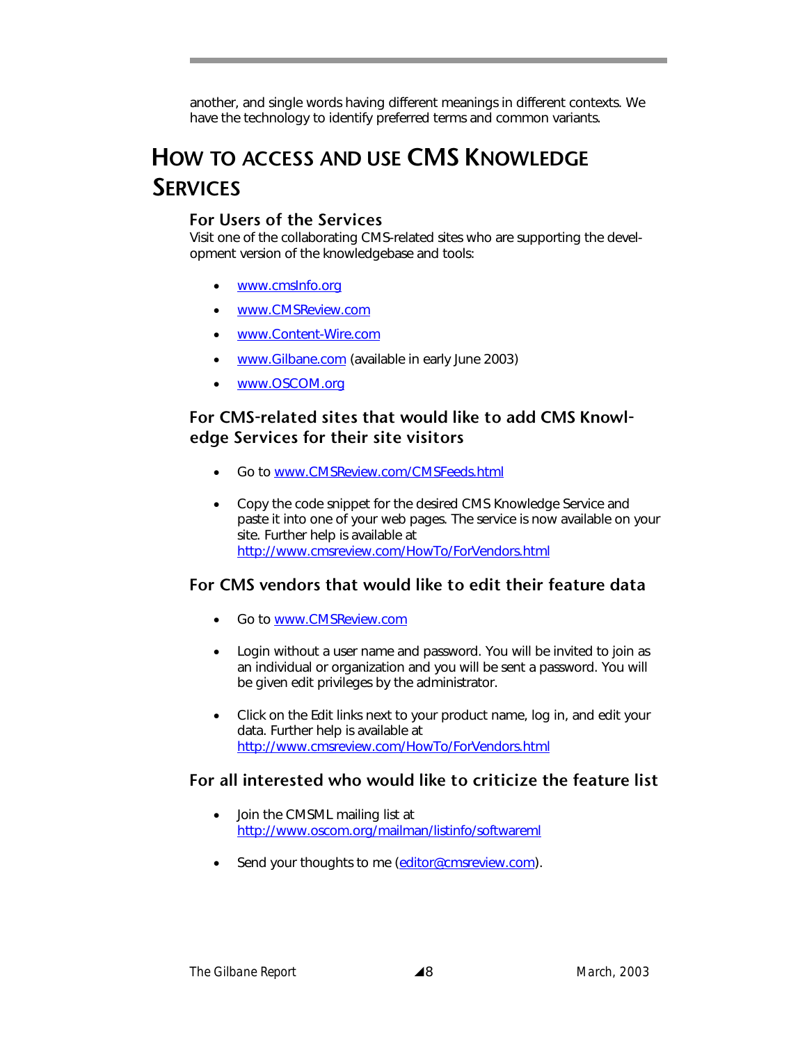another, and single words having different meanings in different contexts. We have the technology to identify preferred terms and common variants.

# **HOW TO ACCESS AND USE CMS KNOWLEDGE SERVICES**

#### **For Users of the Services**

Visit one of the collaborating CMS-related sites who are supporting the development version of the knowledgebase and tools:

- www.cmsInfo.org
- www.CMSReview.com
- www.Content-Wire.com
- www.Gilbane.com (available in early June 2003)
- www.OSCOM.org

#### **For CMS-related sites that would like to add CMS Knowledge Services for their site visitors**

- Go to www.CMSReview.com/CMSFeeds.html
- Copy the code snippet for the desired CMS Knowledge Service and paste it into one of your web pages. The service is now available on your site. Further help is available at http://www.cmsreview.com/HowTo/ForVendors.html

### **For CMS vendors that would like to edit their feature data**

- Go to www.CMSReview.com
- Login without a user name and password. You will be invited to join as an individual or organization and you will be sent a password. You will be given edit privileges by the administrator.
- Click on the Edit links next to your product name, log in, and edit your data. Further help is available at http://www.cmsreview.com/HowTo/ForVendors.html

### **For all interested who would like to criticize the feature list**

- Join the CMSML mailing list at http://www.oscom.org/mailman/listinfo/softwareml
- Send your thoughts to me (editor@cmsreview.com).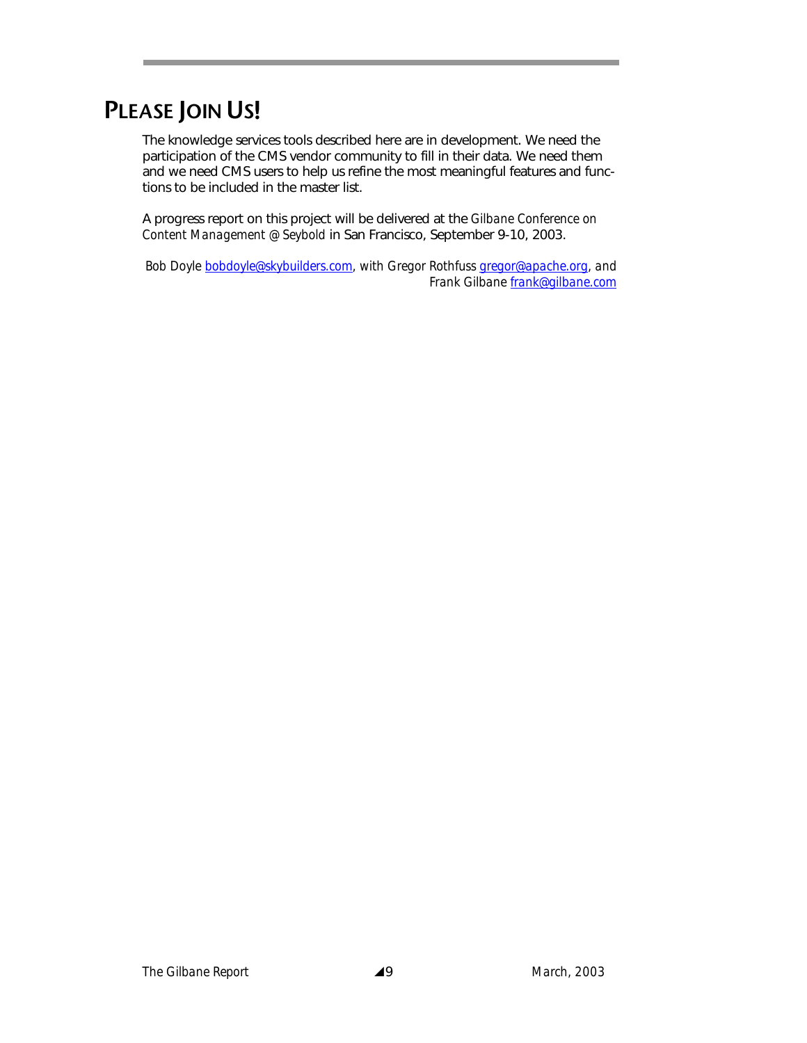# **PLEASE JOIN US!**

The knowledge services tools described here are in development. We need the participation of the CMS vendor community to fill in their data. We need them and we need CMS users to help us refine the most meaningful features and functions to be included in the master list.

A progress report on this project will be delivered at the *Gilbane Conference on Content Management @ Seybold* in San Francisco, September 9-10, 2003.

*Bob Doyle bobdoyle@skybuilders.com, with Gregor Rothfuss gregor@apache.org, and Frank Gilbane frank@gilbane.com*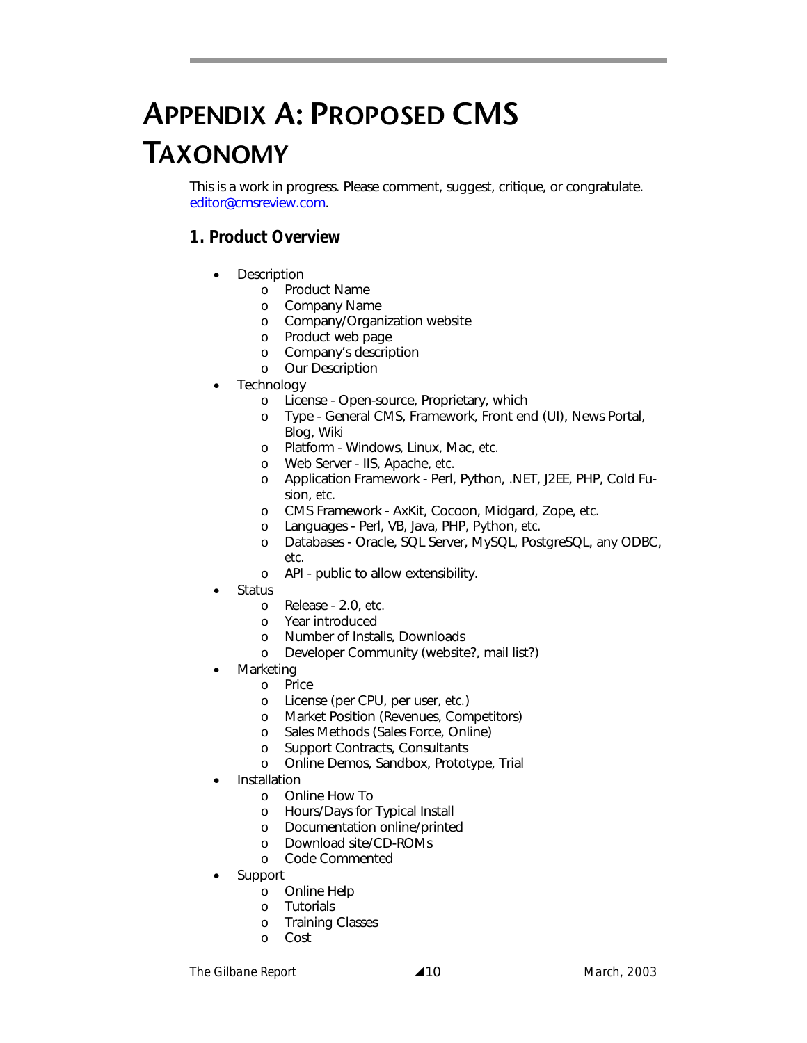# **APPENDIX A: PROPOSED CMS TAXONOMY**

This is a work in progress. Please comment, suggest, critique, or congratulate. editor@cmsreview.com.

## *1. Product Overview*

- **Description** 
	- o Product Name
	- o Company Name
	- o Company/Organization website
	- o Product web page
	- o Company's description
	- o Our Description
- **Technology** 
	- o License Open-source, Proprietary, which
	- o Type General CMS, Framework, Front end (UI), News Portal, Blog, Wiki
	- o Platform Windows, Linux, Mac, *etc.*
	- o Web Server IIS, Apache, *etc.*
	- o Application Framework Perl, Python, .NET, J2EE, PHP, Cold Fusion, *etc.*
	- o CMS Framework AxKit, Cocoon, Midgard, Zope, *etc.*
	- o Languages Perl, VB, Java, PHP, Python, *etc.*
	- o Databases Oracle, SQL Server, MySQL, PostgreSQL, any ODBC, *etc.*
	- o API public to allow extensibility.
- **Status** 
	- o Release 2.0, *etc.*
	- o Year introduced
	- o Number of Installs, Downloads
	- o Developer Community (website?, mail list?)
- **Marketing** 
	- o Price
	- o License (per CPU, per user, *etc.*)
	- o Market Position (Revenues, Competitors)
	- o Sales Methods (Sales Force, Online)
	- o Support Contracts, Consultants
	- o Online Demos, Sandbox, Prototype, Trial
- **Installation** 
	- o Online How To
	- o Hours/Days for Typical Install
	- o Documentation online/printed
	- o Download site/CD-ROMs
	- o Code Commented
- Support
	- o Online Help
	- o Tutorials
	- o Training Classes
	- o Cost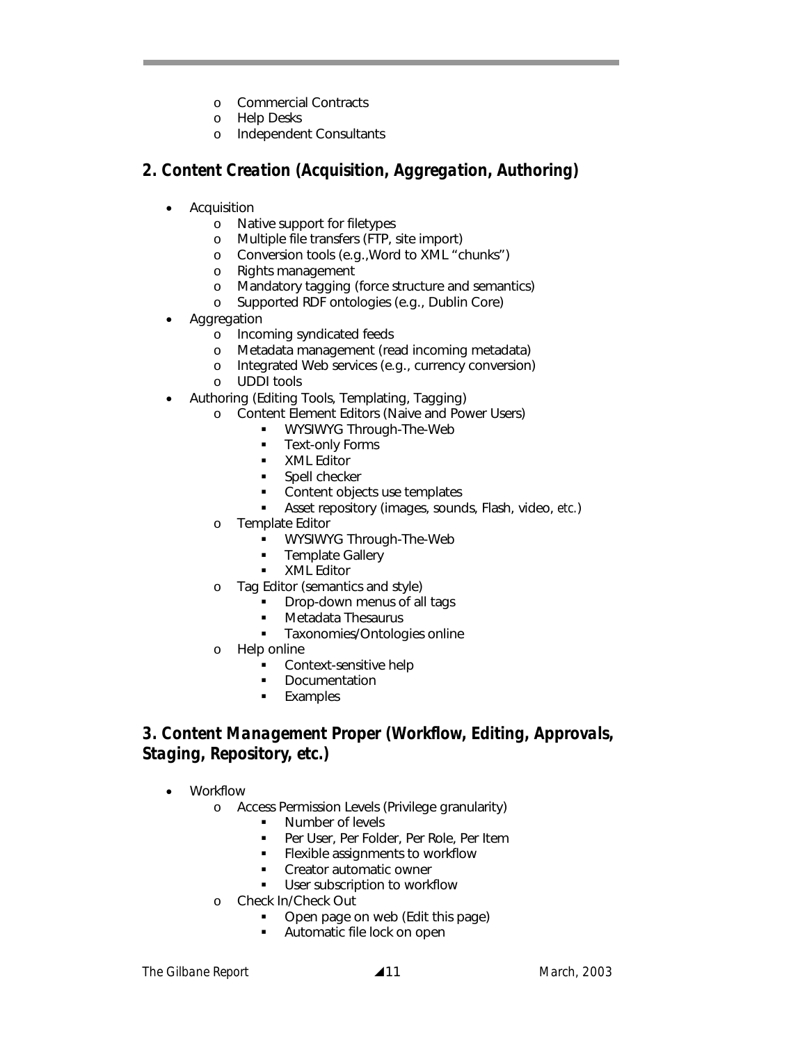- o Commercial Contracts
- o Help Desks
- o Independent Consultants

#### *2. Content Creation (Acquisition, Aggregation, Authoring)*

- **Acquisition** 
	- o Native support for filetypes
	- o Multiple file transfers (FTP, site import)
	- o Conversion tools (e.g.,Word to XML "chunks")
	- o Rights management
	- o Mandatory tagging (force structure and semantics)
	- o Supported RDF ontologies (e.g., Dublin Core)
- **Aggregation** 
	- o Incoming syndicated feeds
	- o Metadata management (read incoming metadata)
	- o Integrated Web services (e.g., currency conversion)
	- o UDDI tools
- Authoring (Editing Tools, Templating, Tagging)
	- o Content Element Editors (Naive and Power Users)
		- **WYSIWYG Through-The-Web**
		- **Text-only Forms**
		- **xML** Editor
		- Spell checker
		- Content objects use templates
		- Asset repository (images, sounds, Flash, video, *etc.*)
	- o Template Editor
		- **WYSIWYG Through-The-Web**
		- **Template Gallery**
		- **xML Editor**
	- o Tag Editor (semantics and style)
		- Drop-down menus of all tags
		- Metadata Thesaurus
		- **Taxonomies/Ontologies online**
	- Help online
		- **Context-sensitive help**<br>**Documentation**
		- Documentation
		- **Examples**

### *3. Content Management Proper (Workflow, Editing, Approvals, Staging, Repository, etc.)*

- Workflow
	- o Access Permission Levels (Privilege granularity)
		- **Number of levels**
		- Per User, Per Folder, Per Role, Per Item
		- **Flexible assignments to workflow**
		- Creator automatic owner
		- **User subscription to workflow**
	- o Check In/Check Out
		- Open page on web (Edit this page)
		- **Automatic file lock on open**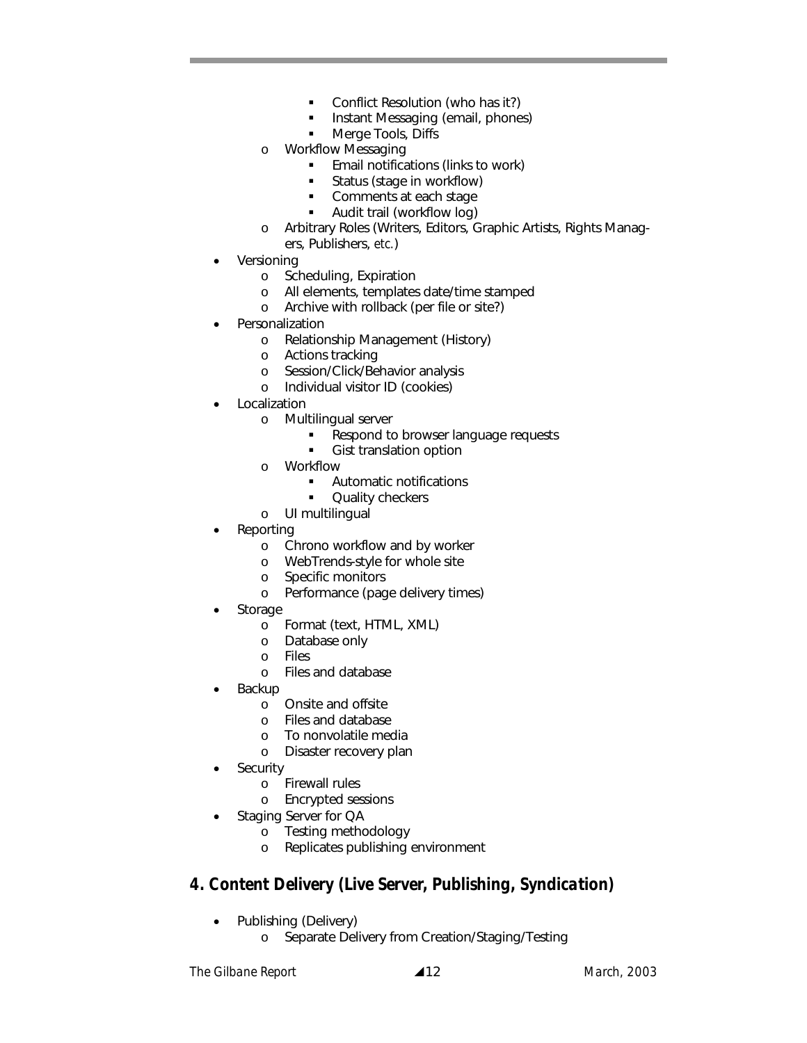- Conflict Resolution (who has it?)
- Instant Messaging (email, phones)
- Merge Tools, Diffs
- o Workflow Messaging
	- **Email notifications (links to work)**
	- Status (stage in workflow)
	- Comments at each stage
	- Audit trail (workflow log)
- o Arbitrary Roles (Writers, Editors, Graphic Artists, Rights Managers, Publishers, *etc.*)
- **Versioning** 
	- o Scheduling, Expiration
	- o All elements, templates date/time stamped
	- o Archive with rollback (per file or site?)
- **Personalization** 
	- o Relationship Management (History)
	- o Actions tracking
	- o Session/Click/Behavior analysis
	- o Individual visitor ID (cookies)
- **Localization** 
	- o Multilingual server
		- **Respond to browser language requests**
		- Gist translation option
	- o Workflow
		- Automatic notifications
		- Quality checkers
	- o UI multilingual
- Reporting
	- o Chrono workflow and by worker
	- o WebTrends-style for whole site
	- o Specific monitors
	- o Performance (page delivery times)
- **Storage** 
	- o Format (text, HTML, XML)
	- o Database only
	- o Files
	- o Files and database
- **Backup** 
	- o Onsite and offsite
	- o Files and database
	- o To nonvolatile media
	- o Disaster recovery plan
- **Security** 
	- o Firewall rules
	- o Encrypted sessions
- Staging Server for QA
	- o Testing methodology
	- o Replicates publishing environment

#### *4. Content Delivery (Live Server, Publishing, Syndication)*

- Publishing (Delivery)
	- o Separate Delivery from Creation/Staging/Testing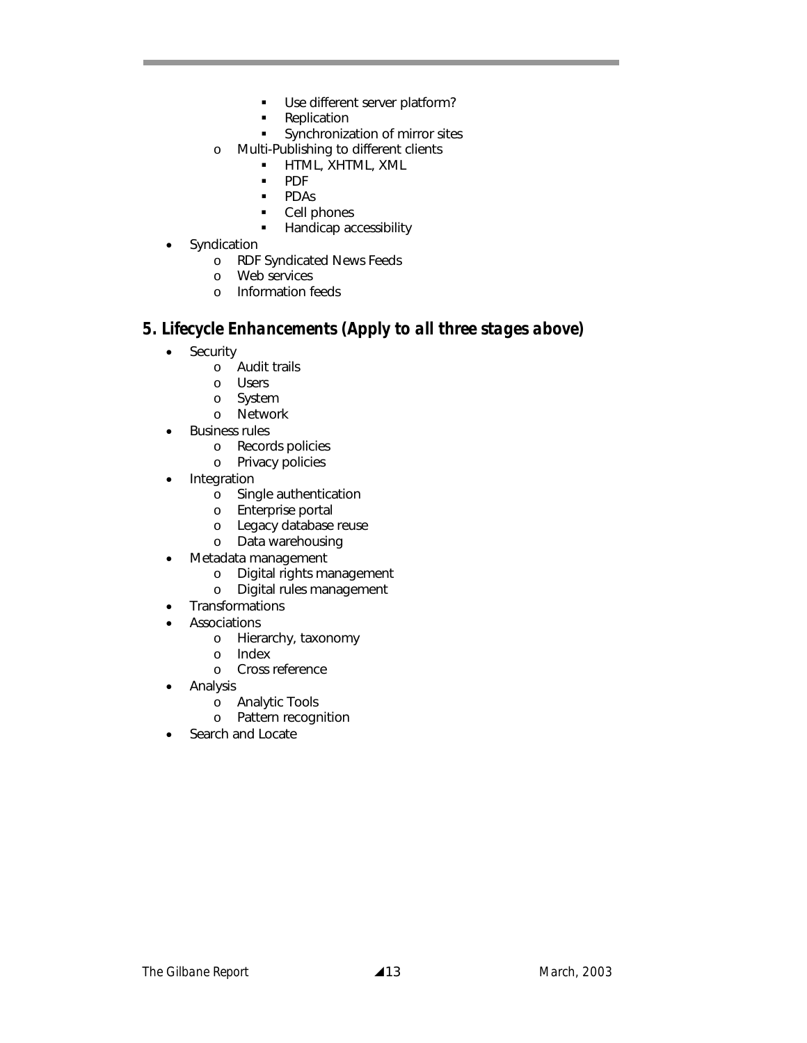- **Use different server platform?**
- Replication
- **Synchronization of mirror sites**
- o Multi-Publishing to different clients
	- **HTML, XHTML, XML**
	- **PDF**
	- **PDAs**
	- Cell phones
	- **Handicap accessibility**
- Syndication
	- o RDF Syndicated News Feeds
	- o Web services
	- o Information feeds

#### *5. Lifecycle Enhancements (Apply to all three stages above)*

- Security
	- o Audit trails
	- o Users
	- o System
	- o Network
- Business rules
	- o Records policies
	- o Privacy policies
- Integration
	- o Single authentication
	- o Enterprise portal
	- o Legacy database reuse
	- o Data warehousing
- Metadata management
	- o Digital rights management
	- o Digital rules management
- Transformations
- **Associations** 
	- o Hierarchy, taxonomy
	- o Index
	- o Cross reference
- Analysis
	- o Analytic Tools
	- o Pattern recognition
- Search and Locate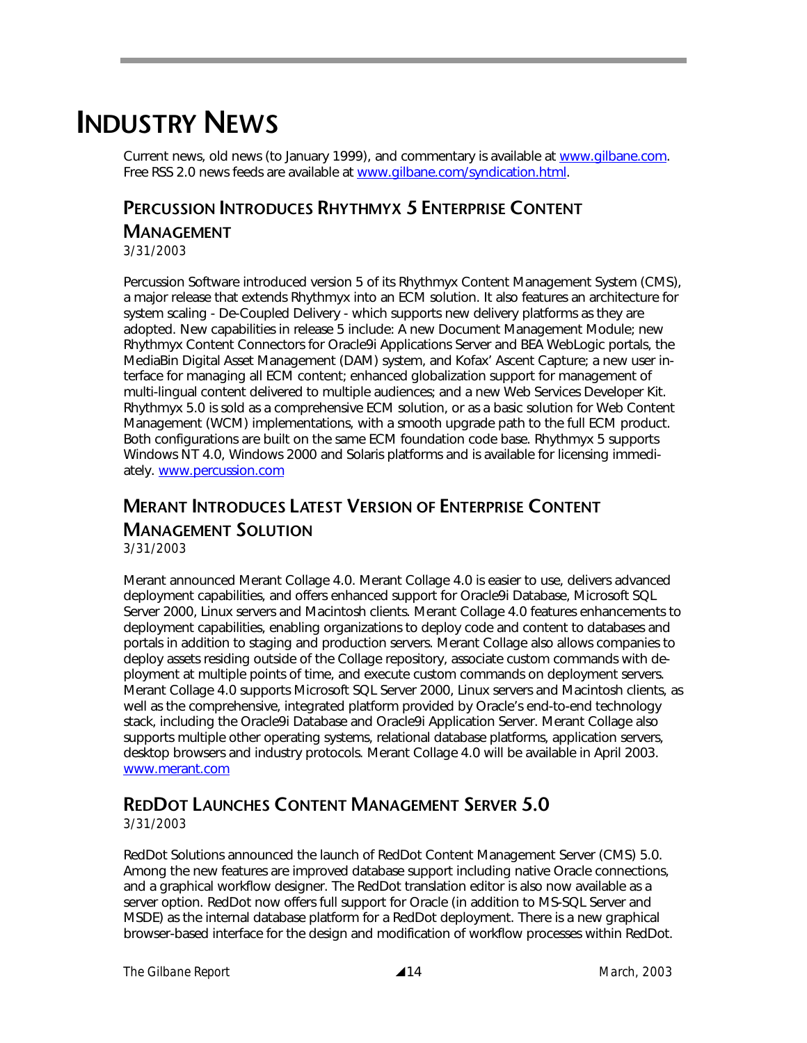# **INDUSTRY NEWS**

Current news, old news (to January 1999), and commentary is available at www.gilbane.com. Free RSS 2.0 news feeds are available at www.gilbane.com/syndication.html.

## **PERCUSSION INTRODUCES RHYTHMYX 5 ENTERPRISE CONTENT MANAGEMENT**

*3/31/2003* 

Percussion Software introduced version 5 of its Rhythmyx Content Management System (CMS), a major release that extends Rhythmyx into an ECM solution. It also features an architecture for system scaling - De-Coupled Delivery - which supports new delivery platforms as they are adopted. New capabilities in release 5 include: A new Document Management Module; new Rhythmyx Content Connectors for Oracle9i Applications Server and BEA WebLogic portals, the MediaBin Digital Asset Management (DAM) system, and Kofax' Ascent Capture; a new user interface for managing all ECM content; enhanced globalization support for management of multi-lingual content delivered to multiple audiences; and a new Web Services Developer Kit. Rhythmyx 5.0 is sold as a comprehensive ECM solution, or as a basic solution for Web Content Management (WCM) implementations, with a smooth upgrade path to the full ECM product. Both configurations are built on the same ECM foundation code base. Rhythmyx 5 supports Windows NT 4.0, Windows 2000 and Solaris platforms and is available for licensing immediately. www.percussion.com

## **MERANT INTRODUCES LATEST VERSION OF ENTERPRISE CONTENT MANAGEMENT SOLUTION**

*3/31/2003* 

Merant announced Merant Collage 4.0. Merant Collage 4.0 is easier to use, delivers advanced deployment capabilities, and offers enhanced support for Oracle9i Database, Microsoft SQL Server 2000, Linux servers and Macintosh clients. Merant Collage 4.0 features enhancements to deployment capabilities, enabling organizations to deploy code and content to databases and portals in addition to staging and production servers. Merant Collage also allows companies to deploy assets residing outside of the Collage repository, associate custom commands with deployment at multiple points of time, and execute custom commands on deployment servers. Merant Collage 4.0 supports Microsoft SQL Server 2000, Linux servers and Macintosh clients, as well as the comprehensive, integrated platform provided by Oracle's end-to-end technology stack, including the Oracle9i Database and Oracle9i Application Server. Merant Collage also supports multiple other operating systems, relational database platforms, application servers, desktop browsers and industry protocols. Merant Collage 4.0 will be available in April 2003. www.merant.com

## **REDDOT LAUNCHES CONTENT MANAGEMENT SERVER 5.0**

*3/31/2003* 

RedDot Solutions announced the launch of RedDot Content Management Server (CMS) 5.0. Among the new features are improved database support including native Oracle connections, and a graphical workflow designer. The RedDot translation editor is also now available as a server option. RedDot now offers full support for Oracle (in addition to MS-SQL Server and MSDE) as the internal database platform for a RedDot deployment. There is a new graphical browser-based interface for the design and modification of workflow processes within RedDot.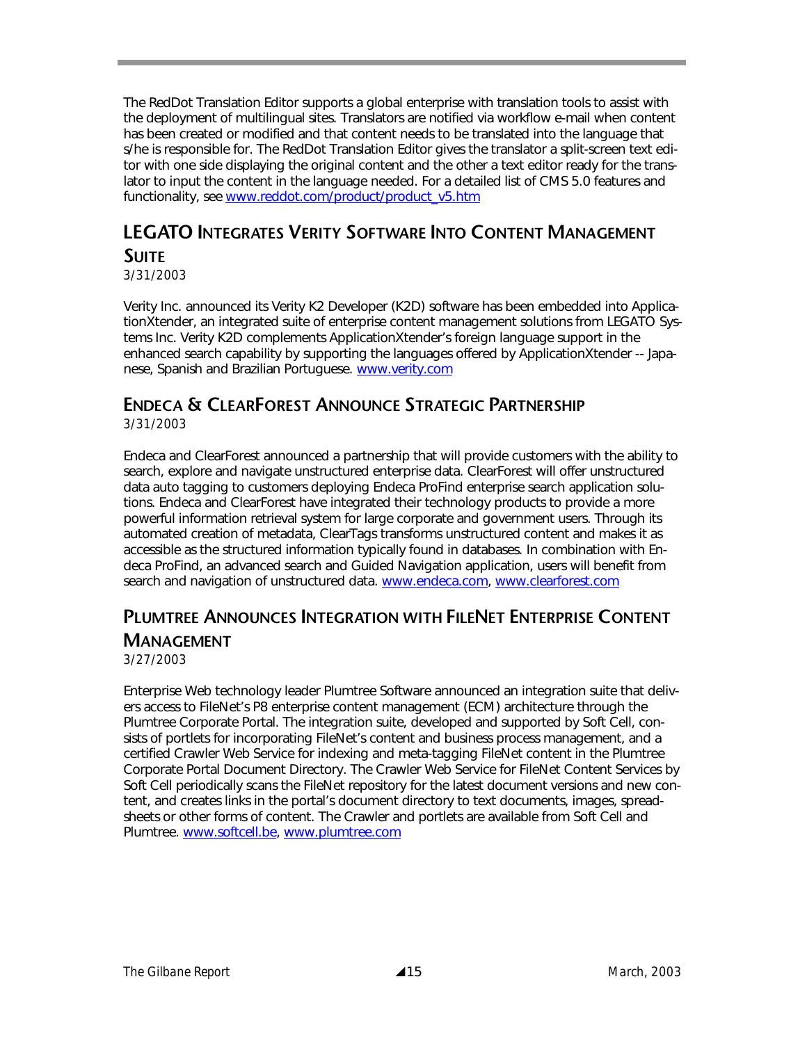The RedDot Translation Editor supports a global enterprise with translation tools to assist with the deployment of multilingual sites. Translators are notified via workflow e-mail when content has been created or modified and that content needs to be translated into the language that s/he is responsible for. The RedDot Translation Editor gives the translator a split-screen text editor with one side displaying the original content and the other a text editor ready for the translator to input the content in the language needed. For a detailed list of CMS 5.0 features and functionality, see www.reddot.com/product/product\_v5.htm

## **LEGATO INTEGRATES VERITY SOFTWARE INTO CONTENT MANAGEMENT SUITE**

*3/31/2003* 

Verity Inc. announced its Verity K2 Developer (K2D) software has been embedded into ApplicationXtender, an integrated suite of enterprise content management solutions from LEGATO Systems Inc. Verity K2D complements ApplicationXtender's foreign language support in the enhanced search capability by supporting the languages offered by ApplicationXtender -- Japanese, Spanish and Brazilian Portuguese. www.verity.com

## **ENDECA & CLEARFOREST ANNOUNCE STRATEGIC PARTNERSHIP**

*3/31/2003* 

Endeca and ClearForest announced a partnership that will provide customers with the ability to search, explore and navigate unstructured enterprise data. ClearForest will offer unstructured data auto tagging to customers deploying Endeca ProFind enterprise search application solutions. Endeca and ClearForest have integrated their technology products to provide a more powerful information retrieval system for large corporate and government users. Through its automated creation of metadata, ClearTags transforms unstructured content and makes it as accessible as the structured information typically found in databases. In combination with Endeca ProFind, an advanced search and Guided Navigation application, users will benefit from search and navigation of unstructured data. www.endeca.com, www.clearforest.com

## **PLUMTREE ANNOUNCES INTEGRATION WITH FILENET ENTERPRISE CONTENT MANAGEMENT**

*3/27/2003* 

Enterprise Web technology leader Plumtree Software announced an integration suite that delivers access to FileNet's P8 enterprise content management (ECM) architecture through the Plumtree Corporate Portal. The integration suite, developed and supported by Soft Cell, consists of portlets for incorporating FileNet's content and business process management, and a certified Crawler Web Service for indexing and meta-tagging FileNet content in the Plumtree Corporate Portal Document Directory. The Crawler Web Service for FileNet Content Services by Soft Cell periodically scans the FileNet repository for the latest document versions and new content, and creates links in the portal's document directory to text documents, images, spreadsheets or other forms of content. The Crawler and portlets are available from Soft Cell and Plumtree. www.softcell.be, www.plumtree.com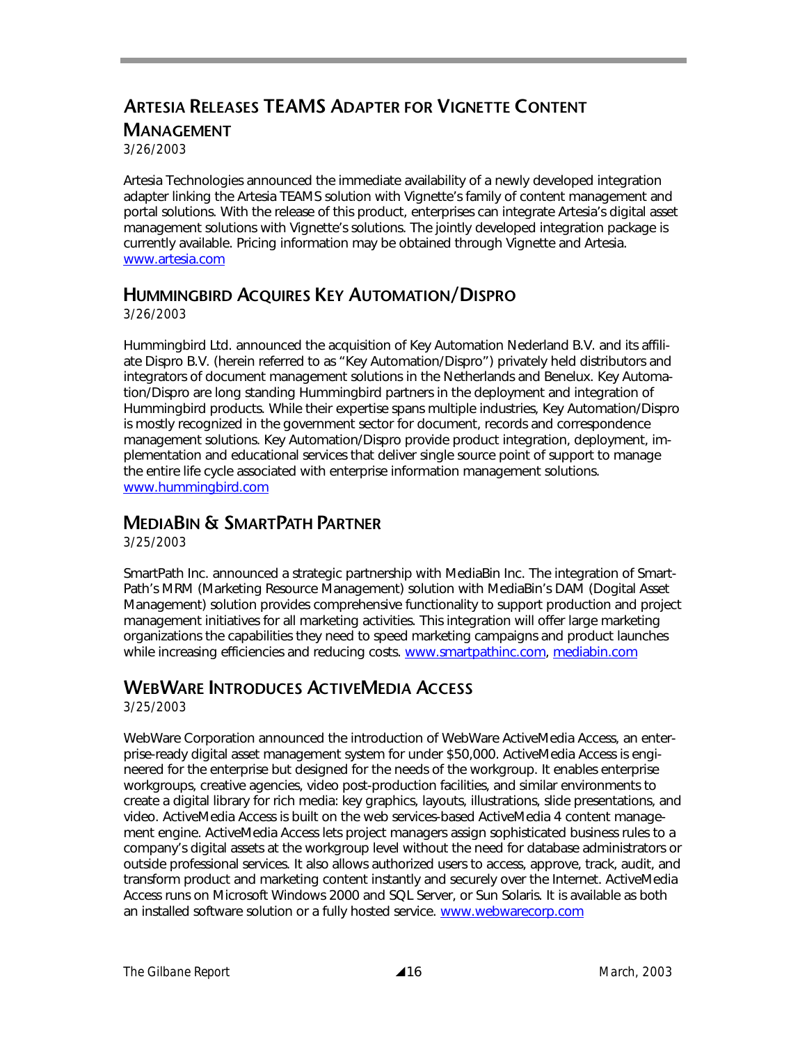## **ARTESIA RELEASES TEAMS ADAPTER FOR VIGNETTE CONTENT MANAGEMENT**

*3/26/2003* 

Artesia Technologies announced the immediate availability of a newly developed integration adapter linking the Artesia TEAMS solution with Vignette's family of content management and portal solutions. With the release of this product, enterprises can integrate Artesia's digital asset management solutions with Vignette's solutions. The jointly developed integration package is currently available. Pricing information may be obtained through Vignette and Artesia. www.artesia.com

#### **HUMMINGBIRD ACQUIRES KEY AUTOMATION/DISPRO**

*3/26/2003* 

Hummingbird Ltd. announced the acquisition of Key Automation Nederland B.V. and its affiliate Dispro B.V. (herein referred to as "Key Automation/Dispro") privately held distributors and integrators of document management solutions in the Netherlands and Benelux. Key Automation/Dispro are long standing Hummingbird partners in the deployment and integration of Hummingbird products. While their expertise spans multiple industries, Key Automation/Dispro is mostly recognized in the government sector for document, records and correspondence management solutions. Key Automation/Dispro provide product integration, deployment, implementation and educational services that deliver single source point of support to manage the entire life cycle associated with enterprise information management solutions. www.hummingbird.com

#### **MEDIABIN & SMARTPATH PARTNER**

*3/25/2003* 

SmartPath Inc. announced a strategic partnership with MediaBin Inc. The integration of Smart-Path's MRM (Marketing Resource Management) solution with MediaBin's DAM (Dogital Asset Management) solution provides comprehensive functionality to support production and project management initiatives for all marketing activities. This integration will offer large marketing organizations the capabilities they need to speed marketing campaigns and product launches while increasing efficiencies and reducing costs. www.smartpathinc.com, mediabin.com

## **WEBWARE INTRODUCES ACTIVEMEDIA ACCESS**

*3/25/2003* 

WebWare Corporation announced the introduction of WebWare ActiveMedia Access, an enterprise-ready digital asset management system for under \$50,000. ActiveMedia Access is engineered for the enterprise but designed for the needs of the workgroup. It enables enterprise workgroups, creative agencies, video post-production facilities, and similar environments to create a digital library for rich media: key graphics, layouts, illustrations, slide presentations, and video. ActiveMedia Access is built on the web services-based ActiveMedia 4 content management engine. ActiveMedia Access lets project managers assign sophisticated business rules to a company's digital assets at the workgroup level without the need for database administrators or outside professional services. It also allows authorized users to access, approve, track, audit, and transform product and marketing content instantly and securely over the Internet. ActiveMedia Access runs on Microsoft Windows 2000 and SQL Server, or Sun Solaris. It is available as both an installed software solution or a fully hosted service. www.webwarecorp.com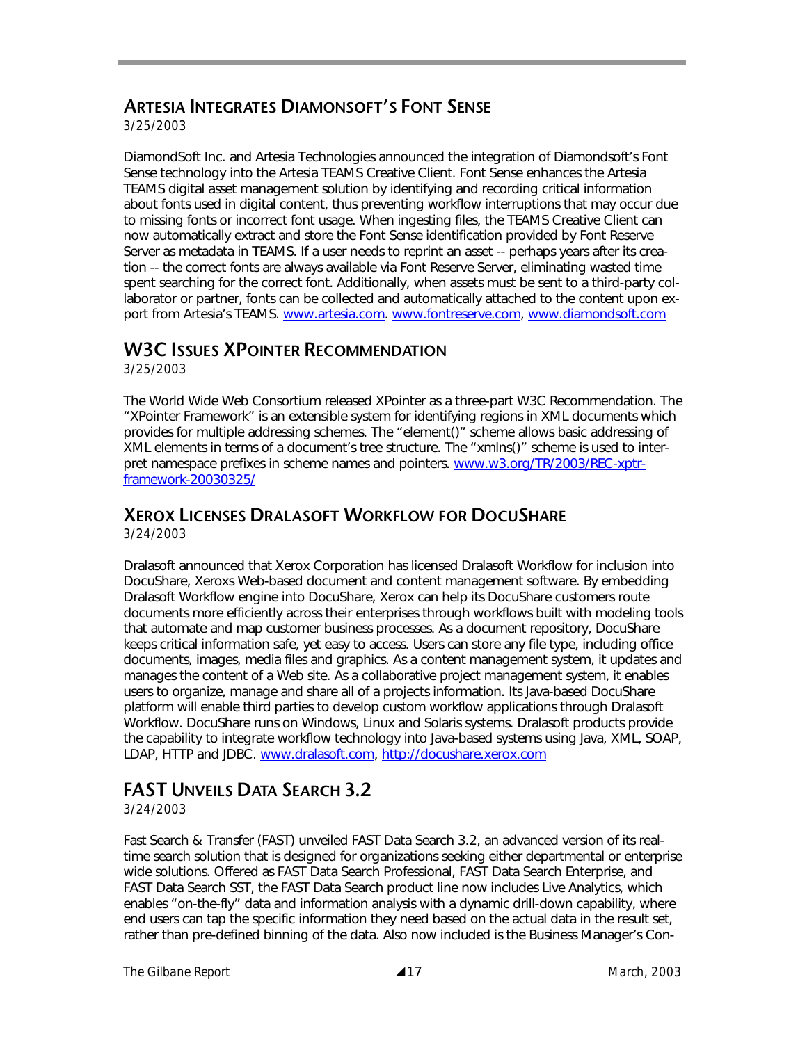## **ARTESIA INTEGRATES DIAMONSOFT'S FONT SENSE**

*3/25/2003* 

DiamondSoft Inc. and Artesia Technologies announced the integration of Diamondsoft's Font Sense technology into the Artesia TEAMS Creative Client. Font Sense enhances the Artesia TEAMS digital asset management solution by identifying and recording critical information about fonts used in digital content, thus preventing workflow interruptions that may occur due to missing fonts or incorrect font usage. When ingesting files, the TEAMS Creative Client can now automatically extract and store the Font Sense identification provided by Font Reserve Server as metadata in TEAMS. If a user needs to reprint an asset -- perhaps years after its creation -- the correct fonts are always available via Font Reserve Server, eliminating wasted time spent searching for the correct font. Additionally, when assets must be sent to a third-party collaborator or partner, fonts can be collected and automatically attached to the content upon export from Artesia's TEAMS. www.artesia.com. www.fontreserve.com, www.diamondsoft.com

### **W3C ISSUES XPOINTER RECOMMENDATION**

*3/25/2003* 

The World Wide Web Consortium released XPointer as a three-part W3C Recommendation. The "XPointer Framework" is an extensible system for identifying regions in XML documents which provides for multiple addressing schemes. The "element()" scheme allows basic addressing of XML elements in terms of a document's tree structure. The "xmlns()" scheme is used to interpret namespace prefixes in scheme names and pointers. www.w3.org/TR/2003/REC-xptrframework-20030325/

## **XEROX LICENSES DRALASOFT WORKFLOW FOR DOCUSHARE**

*3/24/2003* 

Dralasoft announced that Xerox Corporation has licensed Dralasoft Workflow for inclusion into DocuShare, Xeroxs Web-based document and content management software. By embedding Dralasoft Workflow engine into DocuShare, Xerox can help its DocuShare customers route documents more efficiently across their enterprises through workflows built with modeling tools that automate and map customer business processes. As a document repository, DocuShare keeps critical information safe, yet easy to access. Users can store any file type, including office documents, images, media files and graphics. As a content management system, it updates and manages the content of a Web site. As a collaborative project management system, it enables users to organize, manage and share all of a projects information. Its Java-based DocuShare platform will enable third parties to develop custom workflow applications through Dralasoft Workflow. DocuShare runs on Windows, Linux and Solaris systems. Dralasoft products provide the capability to integrate workflow technology into Java-based systems using Java, XML, SOAP, LDAP, HTTP and JDBC. www.dralasoft.com, http://docushare.xerox.com

## **FAST UNVEILS DATA SEARCH 3.2**

*3/24/2003* 

Fast Search & Transfer (FAST) unveiled FAST Data Search 3.2, an advanced version of its realtime search solution that is designed for organizations seeking either departmental or enterprise wide solutions. Offered as FAST Data Search Professional, FAST Data Search Enterprise, and FAST Data Search SST, the FAST Data Search product line now includes Live Analytics, which enables "on-the-fly" data and information analysis with a dynamic drill-down capability, where end users can tap the specific information they need based on the actual data in the result set, rather than pre-defined binning of the data. Also now included is the Business Manager's Con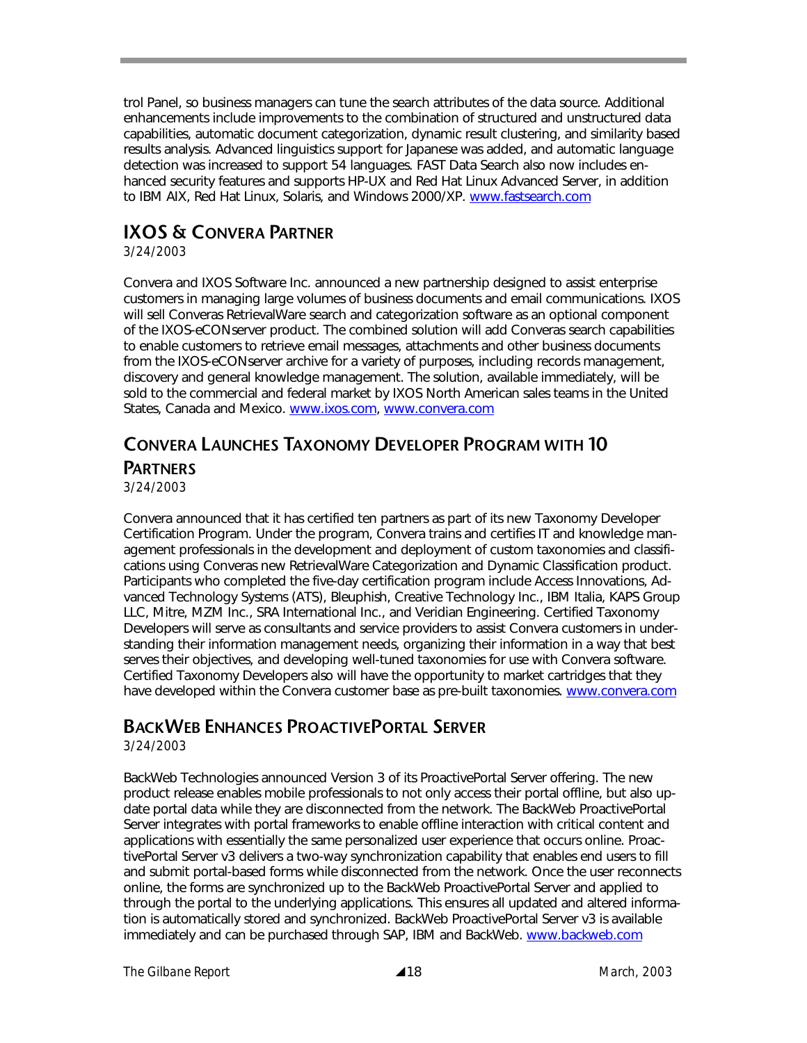trol Panel, so business managers can tune the search attributes of the data source. Additional enhancements include improvements to the combination of structured and unstructured data capabilities, automatic document categorization, dynamic result clustering, and similarity based results analysis. Advanced linguistics support for Japanese was added, and automatic language detection was increased to support 54 languages. FAST Data Search also now includes enhanced security features and supports HP-UX and Red Hat Linux Advanced Server, in addition to IBM AIX, Red Hat Linux, Solaris, and Windows 2000/XP. www.fastsearch.com

## **IXOS & CONVERA PARTNER**

*3/24/2003* 

Convera and IXOS Software Inc. announced a new partnership designed to assist enterprise customers in managing large volumes of business documents and email communications. IXOS will sell Converas RetrievalWare search and categorization software as an optional component of the IXOS-eCONserver product. The combined solution will add Converas search capabilities to enable customers to retrieve email messages, attachments and other business documents from the IXOS-eCONserver archive for a variety of purposes, including records management, discovery and general knowledge management. The solution, available immediately, will be sold to the commercial and federal market by IXOS North American sales teams in the United States, Canada and Mexico. www.ixos.com, www.convera.com

## **CONVERA LAUNCHES TAXONOMY DEVELOPER PROGRAM WITH 10 PARTNERS**

*3/24/2003* 

Convera announced that it has certified ten partners as part of its new Taxonomy Developer Certification Program. Under the program, Convera trains and certifies IT and knowledge management professionals in the development and deployment of custom taxonomies and classifications using Converas new RetrievalWare Categorization and Dynamic Classification product. Participants who completed the five-day certification program include Access Innovations, Advanced Technology Systems (ATS), Bleuphish, Creative Technology Inc., IBM Italia, KAPS Group LLC, Mitre, MZM Inc., SRA International Inc., and Veridian Engineering. Certified Taxonomy Developers will serve as consultants and service providers to assist Convera customers in understanding their information management needs, organizing their information in a way that best serves their objectives, and developing well-tuned taxonomies for use with Convera software. Certified Taxonomy Developers also will have the opportunity to market cartridges that they have developed within the Convera customer base as pre-built taxonomies. www.convera.com

## **BACKWEB ENHANCES PROACTIVEPORTAL SERVER**

*3/24/2003* 

BackWeb Technologies announced Version 3 of its ProactivePortal Server offering. The new product release enables mobile professionals to not only access their portal offline, but also update portal data while they are disconnected from the network. The BackWeb ProactivePortal Server integrates with portal frameworks to enable offline interaction with critical content and applications with essentially the same personalized user experience that occurs online. ProactivePortal Server v3 delivers a two-way synchronization capability that enables end users to fill and submit portal-based forms while disconnected from the network. Once the user reconnects online, the forms are synchronized up to the BackWeb ProactivePortal Server and applied to through the portal to the underlying applications. This ensures all updated and altered information is automatically stored and synchronized. BackWeb ProactivePortal Server v3 is available immediately and can be purchased through SAP, IBM and BackWeb. www.backweb.com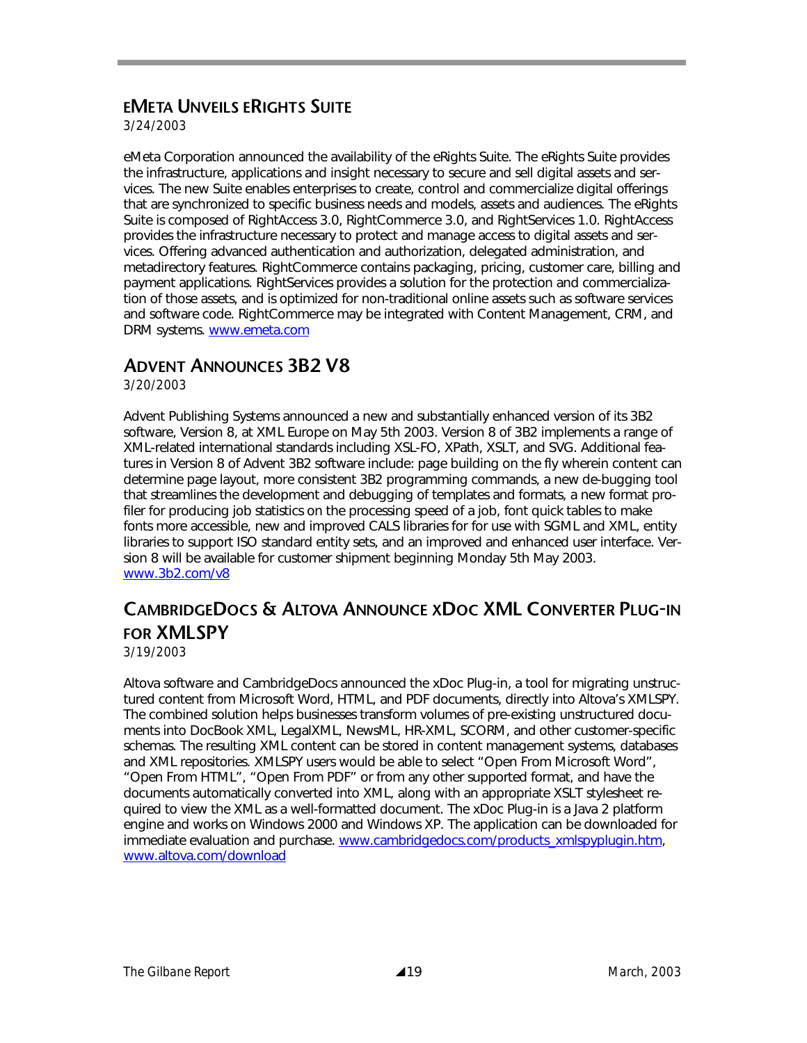## **EMETA UNVEILS ERIGHTS SUITE**

*3/24/2003* 

eMeta Corporation announced the availability of the eRights Suite. The eRights Suite provides the infrastructure, applications and insight necessary to secure and sell digital assets and services. The new Suite enables enterprises to create, control and commercialize digital offerings that are synchronized to specific business needs and models, assets and audiences. The eRights Suite is composed of RightAccess 3.0, RightCommerce 3.0, and RightServices 1.0. RightAccess provides the infrastructure necessary to protect and manage access to digital assets and services. Offering advanced authentication and authorization, delegated administration, and metadirectory features. RightCommerce contains packaging, pricing, customer care, billing and payment applications. RightServices provides a solution for the protection and commercialization of those assets, and is optimized for non-traditional online assets such as software services and software code. RightCommerce may be integrated with Content Management, CRM, and DRM systems. www.emeta.com

### **ADVENT ANNOUNCES 3B2 V8**

*3/20/2003* 

Advent Publishing Systems announced a new and substantially enhanced version of its 3B2 software, Version 8, at XML Europe on May 5th 2003. Version 8 of 3B2 implements a range of XML-related international standards including XSL-FO, XPath, XSLT, and SVG. Additional features in Version 8 of Advent 3B2 software include: page building on the fly wherein content can determine page layout, more consistent 3B2 programming commands, a new de-bugging tool that streamlines the development and debugging of templates and formats, a new format profiler for producing job statistics on the processing speed of a job, font quick tables to make fonts more accessible, new and improved CALS libraries for for use with SGML and XML, entity libraries to support ISO standard entity sets, and an improved and enhanced user interface. Version 8 will be available for customer shipment beginning Monday 5th May 2003. www.3b2.com/v8

## **CAMBRIDGEDOCS & ALTOVA ANNOUNCE XDOC XML CONVERTER PLUG-IN FOR XMLSPY**

*3/19/2003* 

Altova software and CambridgeDocs announced the xDoc Plug-in, a tool for migrating unstructured content from Microsoft Word, HTML, and PDF documents, directly into Altova's XMLSPY. The combined solution helps businesses transform volumes of pre-existing unstructured documents into DocBook XML, LegalXML, NewsML, HR-XML, SCORM, and other customer-specific schemas. The resulting XML content can be stored in content management systems, databases and XML repositories. XMLSPY users would be able to select "Open From Microsoft Word", "Open From HTML", "Open From PDF" or from any other supported format, and have the documents automatically converted into XML, along with an appropriate XSLT stylesheet required to view the XML as a well-formatted document. The xDoc Plug-in is a Java 2 platform engine and works on Windows 2000 and Windows XP. The application can be downloaded for immediate evaluation and purchase. www.cambridgedocs.com/products\_xmlspyplugin.htm, www.altova.com/download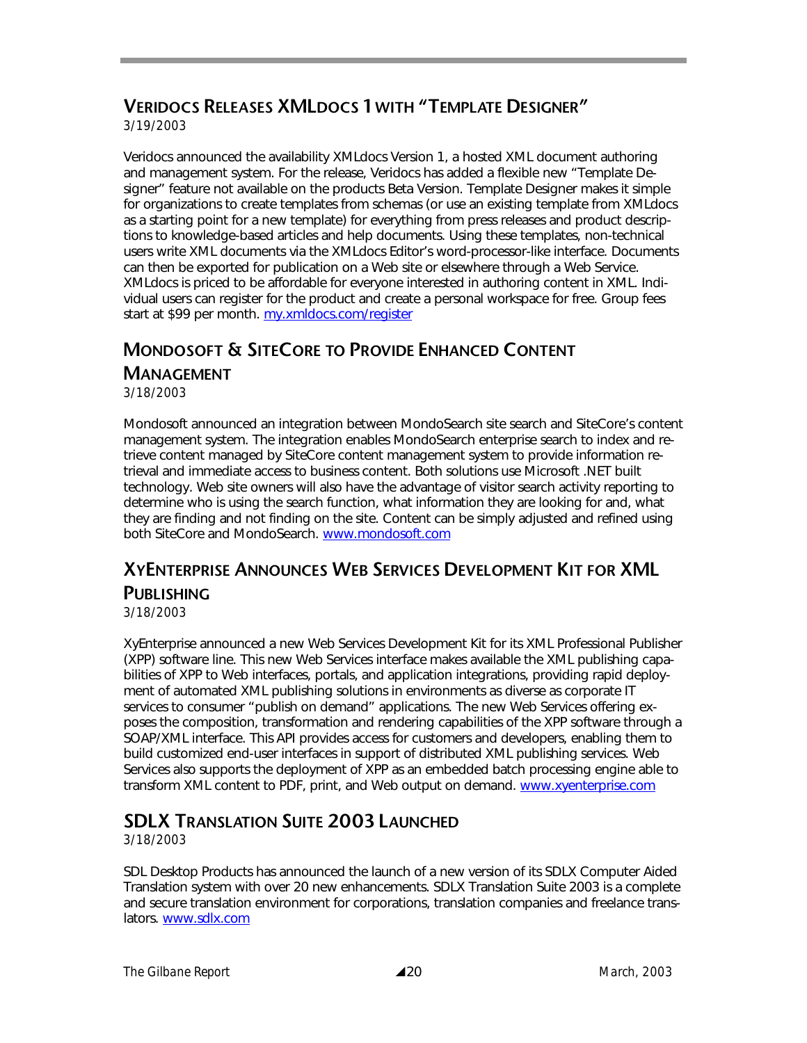## **VERIDOCS RELEASES XMLDOCS 1 WITH "TEMPLATE DESIGNER"**

*3/19/2003* 

Veridocs announced the availability XMLdocs Version 1, a hosted XML document authoring and management system. For the release, Veridocs has added a flexible new "Template Designer" feature not available on the products Beta Version. Template Designer makes it simple for organizations to create templates from schemas (or use an existing template from XMLdocs as a starting point for a new template) for everything from press releases and product descriptions to knowledge-based articles and help documents. Using these templates, non-technical users write XML documents via the XMLdocs Editor's word-processor-like interface. Documents can then be exported for publication on a Web site or elsewhere through a Web Service. XMLdocs is priced to be affordable for everyone interested in authoring content in XML. Individual users can register for the product and create a personal workspace for free. Group fees start at \$99 per month. my.xmldocs.com/register

## **MONDOSOFT & SITECORE TO PROVIDE ENHANCED CONTENT**

#### **MANAGEMENT**

*3/18/2003* 

Mondosoft announced an integration between MondoSearch site search and SiteCore's content management system. The integration enables MondoSearch enterprise search to index and retrieve content managed by SiteCore content management system to provide information retrieval and immediate access to business content. Both solutions use Microsoft .NET built technology. Web site owners will also have the advantage of visitor search activity reporting to determine who is using the search function, what information they are looking for and, what they are finding and not finding on the site. Content can be simply adjusted and refined using both SiteCore and MondoSearch. www.mondosoft.com

## **XYENTERPRISE ANNOUNCES WEB SERVICES DEVELOPMENT KIT FOR XML PUBLISHING**

*3/18/2003* 

XyEnterprise announced a new Web Services Development Kit for its XML Professional Publisher (XPP) software line. This new Web Services interface makes available the XML publishing capabilities of XPP to Web interfaces, portals, and application integrations, providing rapid deployment of automated XML publishing solutions in environments as diverse as corporate IT services to consumer "publish on demand" applications. The new Web Services offering exposes the composition, transformation and rendering capabilities of the XPP software through a SOAP/XML interface. This API provides access for customers and developers, enabling them to build customized end-user interfaces in support of distributed XML publishing services. Web Services also supports the deployment of XPP as an embedded batch processing engine able to transform XML content to PDF, print, and Web output on demand. www.xyenterprise.com

## **SDLX TRANSLATION SUITE 2003 LAUNCHED**

*3/18/2003* 

SDL Desktop Products has announced the launch of a new version of its SDLX Computer Aided Translation system with over 20 new enhancements. SDLX Translation Suite 2003 is a complete and secure translation environment for corporations, translation companies and freelance translators. www.sdlx.com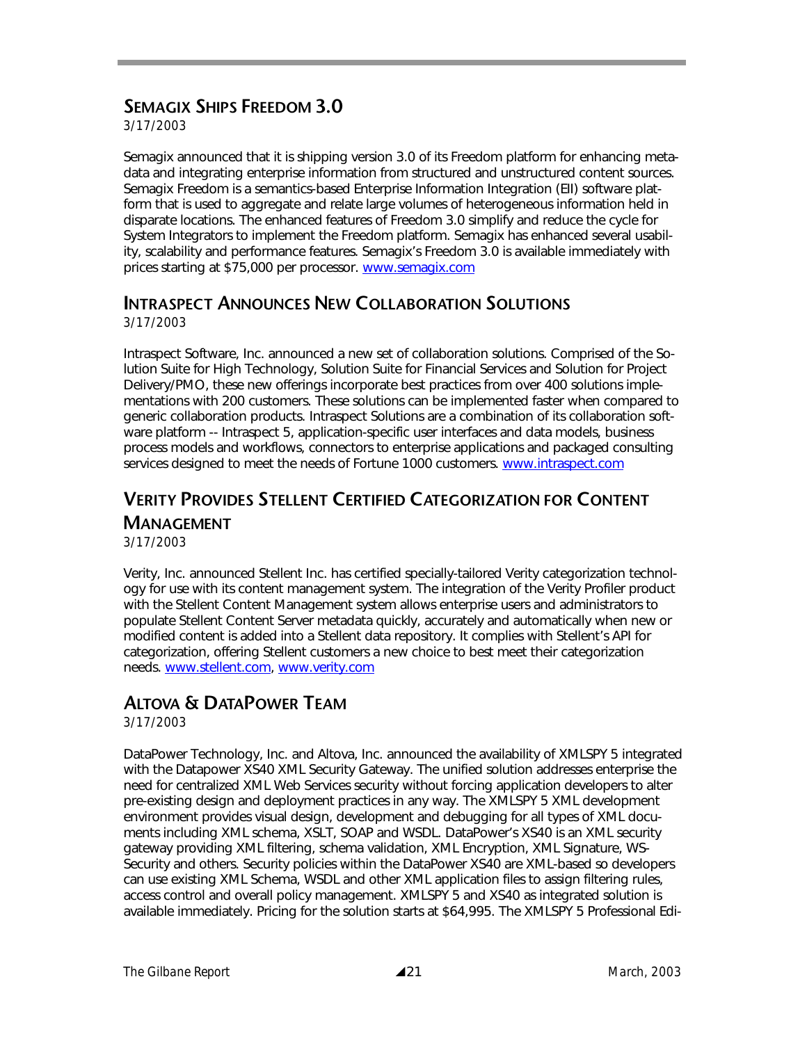## **SEMAGIX SHIPS FREEDOM 3.0**

*3/17/2003* 

Semagix announced that it is shipping version 3.0 of its Freedom platform for enhancing metadata and integrating enterprise information from structured and unstructured content sources. Semagix Freedom is a semantics-based Enterprise Information Integration (EII) software platform that is used to aggregate and relate large volumes of heterogeneous information held in disparate locations. The enhanced features of Freedom 3.0 simplify and reduce the cycle for System Integrators to implement the Freedom platform. Semagix has enhanced several usability, scalability and performance features. Semagix's Freedom 3.0 is available immediately with prices starting at \$75,000 per processor. www.semagix.com

## **INTRASPECT ANNOUNCES NEW COLLABORATION SOLUTIONS**

*3/17/2003* 

Intraspect Software, Inc. announced a new set of collaboration solutions. Comprised of the Solution Suite for High Technology, Solution Suite for Financial Services and Solution for Project Delivery/PMO, these new offerings incorporate best practices from over 400 solutions implementations with 200 customers. These solutions can be implemented faster when compared to generic collaboration products. Intraspect Solutions are a combination of its collaboration software platform -- Intraspect 5, application-specific user interfaces and data models, business process models and workflows, connectors to enterprise applications and packaged consulting services designed to meet the needs of Fortune 1000 customers. www.intraspect.com

#### **VERITY PROVIDES STELLENT CERTIFIED CATEGORIZATION FOR CONTENT MANAGEMENT** *3/17/2003*

Verity, Inc. announced Stellent Inc. has certified specially-tailored Verity categorization technology for use with its content management system. The integration of the Verity Profiler product with the Stellent Content Management system allows enterprise users and administrators to populate Stellent Content Server metadata quickly, accurately and automatically when new or modified content is added into a Stellent data repository. It complies with Stellent's API for categorization, offering Stellent customers a new choice to best meet their categorization needs. www.stellent.com, www.verity.com

## **ALTOVA & DATAPOWER TEAM**

*3/17/2003* 

DataPower Technology, Inc. and Altova, Inc. announced the availability of XMLSPY 5 integrated with the Datapower XS40 XML Security Gateway. The unified solution addresses enterprise the need for centralized XML Web Services security without forcing application developers to alter pre-existing design and deployment practices in any way. The XMLSPY 5 XML development environment provides visual design, development and debugging for all types of XML documents including XML schema, XSLT, SOAP and WSDL. DataPower's XS40 is an XML security gateway providing XML filtering, schema validation, XML Encryption, XML Signature, WS-Security and others. Security policies within the DataPower XS40 are XML-based so developers can use existing XML Schema, WSDL and other XML application files to assign filtering rules, access control and overall policy management. XMLSPY 5 and XS40 as integrated solution is available immediately. Pricing for the solution starts at \$64,995. The XMLSPY 5 Professional Edi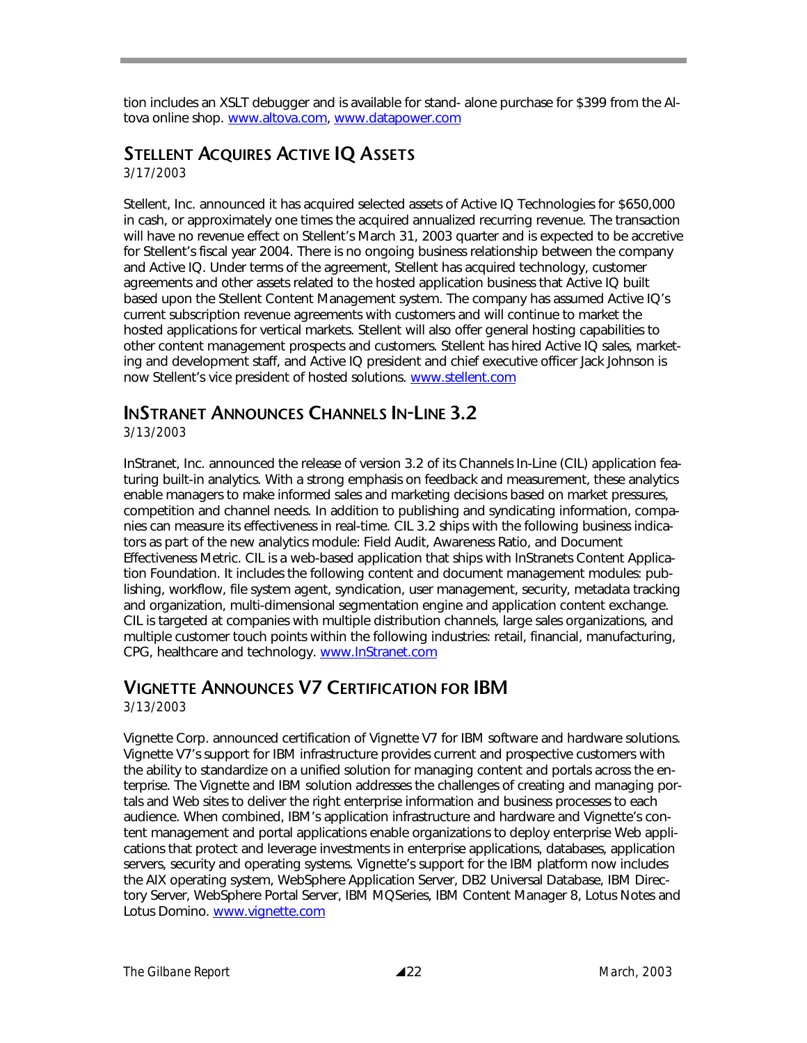tion includes an XSLT debugger and is available for stand- alone purchase for \$399 from the Altova online shop. www.altova.com, www.datapower.com

## **STELLENT ACQUIRES ACTIVE IQ ASSETS**

*3/17/2003* 

Stellent, Inc. announced it has acquired selected assets of Active IQ Technologies for \$650,000 in cash, or approximately one times the acquired annualized recurring revenue. The transaction will have no revenue effect on Stellent's March 31, 2003 quarter and is expected to be accretive for Stellent's fiscal year 2004. There is no ongoing business relationship between the company and Active IQ. Under terms of the agreement, Stellent has acquired technology, customer agreements and other assets related to the hosted application business that Active IQ built based upon the Stellent Content Management system. The company has assumed Active IQ's current subscription revenue agreements with customers and will continue to market the hosted applications for vertical markets. Stellent will also offer general hosting capabilities to other content management prospects and customers. Stellent has hired Active IQ sales, marketing and development staff, and Active IQ president and chief executive officer Jack Johnson is now Stellent's vice president of hosted solutions. www.stellent.com

## **INSTRANET ANNOUNCES CHANNELS IN-LINE 3.2**

*3/13/2003* 

InStranet, Inc. announced the release of version 3.2 of its Channels In-Line (CIL) application featuring built-in analytics. With a strong emphasis on feedback and measurement, these analytics enable managers to make informed sales and marketing decisions based on market pressures, competition and channel needs. In addition to publishing and syndicating information, companies can measure its effectiveness in real-time. CIL 3.2 ships with the following business indicators as part of the new analytics module: Field Audit, Awareness Ratio, and Document Effectiveness Metric. CIL is a web-based application that ships with InStranets Content Application Foundation. It includes the following content and document management modules: publishing, workflow, file system agent, syndication, user management, security, metadata tracking and organization, multi-dimensional segmentation engine and application content exchange. CIL is targeted at companies with multiple distribution channels, large sales organizations, and multiple customer touch points within the following industries: retail, financial, manufacturing, CPG, healthcare and technology. www.InStranet.com

## **VIGNETTE ANNOUNCES V7 CERTIFICATION FOR IBM**

*3/13/2003* 

Vignette Corp. announced certification of Vignette V7 for IBM software and hardware solutions. Vignette V7's support for IBM infrastructure provides current and prospective customers with the ability to standardize on a unified solution for managing content and portals across the enterprise. The Vignette and IBM solution addresses the challenges of creating and managing portals and Web sites to deliver the right enterprise information and business processes to each audience. When combined, IBM's application infrastructure and hardware and Vignette's content management and portal applications enable organizations to deploy enterprise Web applications that protect and leverage investments in enterprise applications, databases, application servers, security and operating systems. Vignette's support for the IBM platform now includes the AIX operating system, WebSphere Application Server, DB2 Universal Database, IBM Directory Server, WebSphere Portal Server, IBM MQSeries, IBM Content Manager 8, Lotus Notes and Lotus Domino. www.vignette.com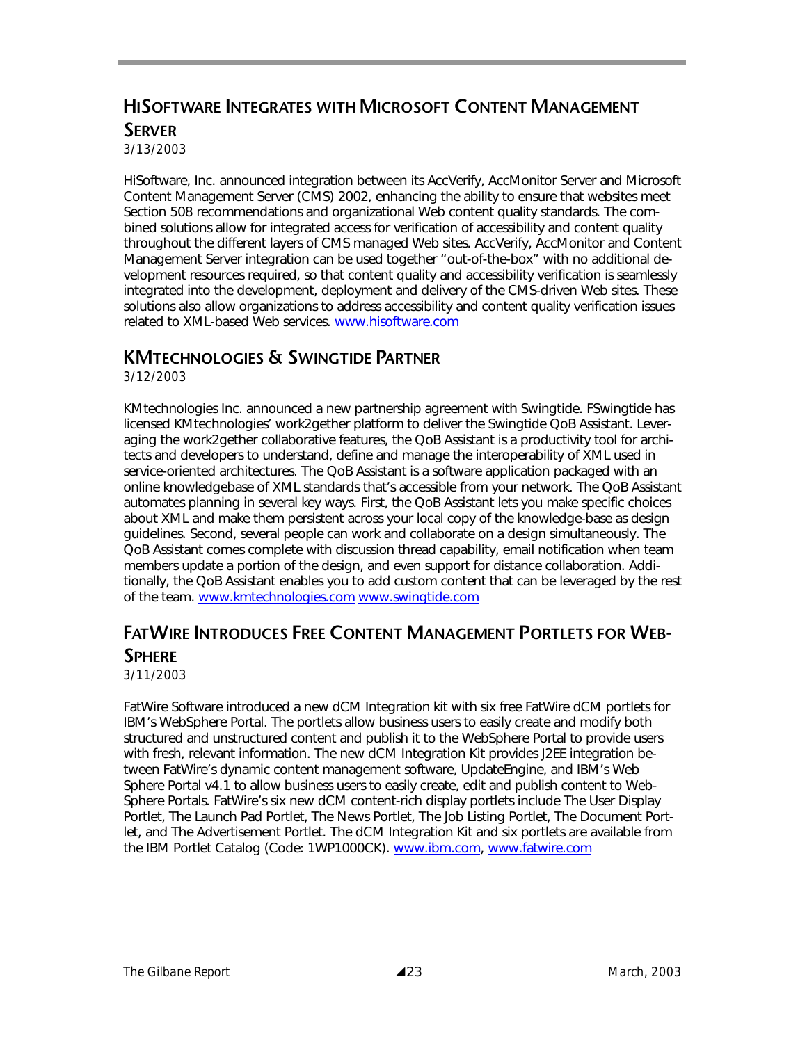## **HISOFTWARE INTEGRATES WITH MICROSOFT CONTENT MANAGEMENT SERVER**

*3/13/2003* 

HiSoftware, Inc. announced integration between its AccVerify, AccMonitor Server and Microsoft Content Management Server (CMS) 2002, enhancing the ability to ensure that websites meet Section 508 recommendations and organizational Web content quality standards. The combined solutions allow for integrated access for verification of accessibility and content quality throughout the different layers of CMS managed Web sites. AccVerify, AccMonitor and Content Management Server integration can be used together "out-of-the-box" with no additional development resources required, so that content quality and accessibility verification is seamlessly integrated into the development, deployment and delivery of the CMS-driven Web sites. These solutions also allow organizations to address accessibility and content quality verification issues related to XML-based Web services. www.hisoftware.com

#### **KMTECHNOLOGIES & SWINGTIDE PARTNER**

*3/12/2003* 

KMtechnologies Inc. announced a new partnership agreement with Swingtide. FSwingtide has licensed KMtechnologies' work2gether platform to deliver the Swingtide QoB Assistant. Leveraging the work2gether collaborative features, the QoB Assistant is a productivity tool for architects and developers to understand, define and manage the interoperability of XML used in service-oriented architectures. The QoB Assistant is a software application packaged with an online knowledgebase of XML standards that's accessible from your network. The QoB Assistant automates planning in several key ways. First, the QoB Assistant lets you make specific choices about XML and make them persistent across your local copy of the knowledge-base as design guidelines. Second, several people can work and collaborate on a design simultaneously. The QoB Assistant comes complete with discussion thread capability, email notification when team members update a portion of the design, and even support for distance collaboration. Additionally, the QoB Assistant enables you to add custom content that can be leveraged by the rest of the team. www.kmtechnologies.com www.swingtide.com

## **FATWIRE INTRODUCES FREE CONTENT MANAGEMENT PORTLETS FOR WEB-SPHERE**

*3/11/2003* 

FatWire Software introduced a new dCM Integration kit with six free FatWire dCM portlets for IBM's WebSphere Portal. The portlets allow business users to easily create and modify both structured and unstructured content and publish it to the WebSphere Portal to provide users with fresh, relevant information. The new dCM Integration Kit provides J2EE integration between FatWire's dynamic content management software, UpdateEngine, and IBM's Web Sphere Portal v4.1 to allow business users to easily create, edit and publish content to Web-Sphere Portals. FatWire's six new dCM content-rich display portlets include The User Display Portlet, The Launch Pad Portlet, The News Portlet, The Job Listing Portlet, The Document Portlet, and The Advertisement Portlet. The dCM Integration Kit and six portlets are available from the IBM Portlet Catalog (Code: 1WP1000CK). www.ibm.com, www.fatwire.com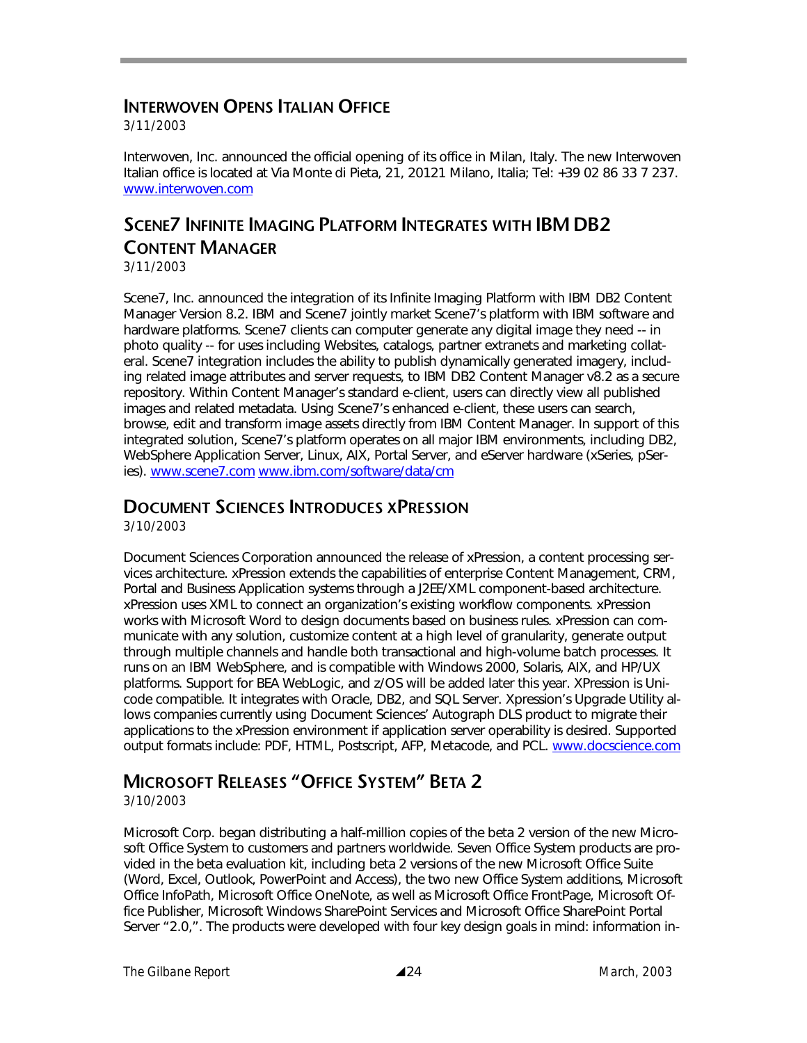### **INTERWOVEN OPENS ITALIAN OFFICE**

*3/11/2003* 

Interwoven, Inc. announced the official opening of its office in Milan, Italy. The new Interwoven Italian office is located at Via Monte di Pieta, 21, 20121 Milano, Italia; Tel: +39 02 86 33 7 237. www.interwoven.com

# **SCENE7 INFINITE IMAGING PLATFORM INTEGRATES WITH IBM DB2 CONTENT MANAGER**

*3/11/2003* 

Scene7, Inc. announced the integration of its Infinite Imaging Platform with IBM DB2 Content Manager Version 8.2. IBM and Scene7 jointly market Scene7's platform with IBM software and hardware platforms. Scene7 clients can computer generate any digital image they need -- in photo quality -- for uses including Websites, catalogs, partner extranets and marketing collateral. Scene7 integration includes the ability to publish dynamically generated imagery, including related image attributes and server requests, to IBM DB2 Content Manager v8.2 as a secure repository. Within Content Manager's standard e-client, users can directly view all published images and related metadata. Using Scene7's enhanced e-client, these users can search, browse, edit and transform image assets directly from IBM Content Manager. In support of this integrated solution, Scene7's platform operates on all major IBM environments, including DB2, WebSphere Application Server, Linux, AIX, Portal Server, and eServer hardware (xSeries, pSeries). www.scene7.com www.ibm.com/software/data/cm

#### **DOCUMENT SCIENCES INTRODUCES XPRESSION**

*3/10/2003* 

Document Sciences Corporation announced the release of xPression, a content processing services architecture. xPression extends the capabilities of enterprise Content Management, CRM, Portal and Business Application systems through a J2EE/XML component-based architecture. xPression uses XML to connect an organization's existing workflow components. xPression works with Microsoft Word to design documents based on business rules. xPression can communicate with any solution, customize content at a high level of granularity, generate output through multiple channels and handle both transactional and high-volume batch processes. It runs on an IBM WebSphere, and is compatible with Windows 2000, Solaris, AIX, and HP/UX platforms. Support for BEA WebLogic, and z/OS will be added later this year. XPression is Unicode compatible. It integrates with Oracle, DB2, and SQL Server. Xpression's Upgrade Utility allows companies currently using Document Sciences' Autograph DLS product to migrate their applications to the xPression environment if application server operability is desired. Supported output formats include: PDF, HTML, Postscript, AFP, Metacode, and PCL. www.docscience.com

## **MICROSOFT RELEASES "OFFICE SYSTEM" BETA 2**

#### *3/10/2003*

Microsoft Corp. began distributing a half-million copies of the beta 2 version of the new Microsoft Office System to customers and partners worldwide. Seven Office System products are provided in the beta evaluation kit, including beta 2 versions of the new Microsoft Office Suite (Word, Excel, Outlook, PowerPoint and Access), the two new Office System additions, Microsoft Office InfoPath, Microsoft Office OneNote, as well as Microsoft Office FrontPage, Microsoft Office Publisher, Microsoft Windows SharePoint Services and Microsoft Office SharePoint Portal Server "2.0,". The products were developed with four key design goals in mind: information in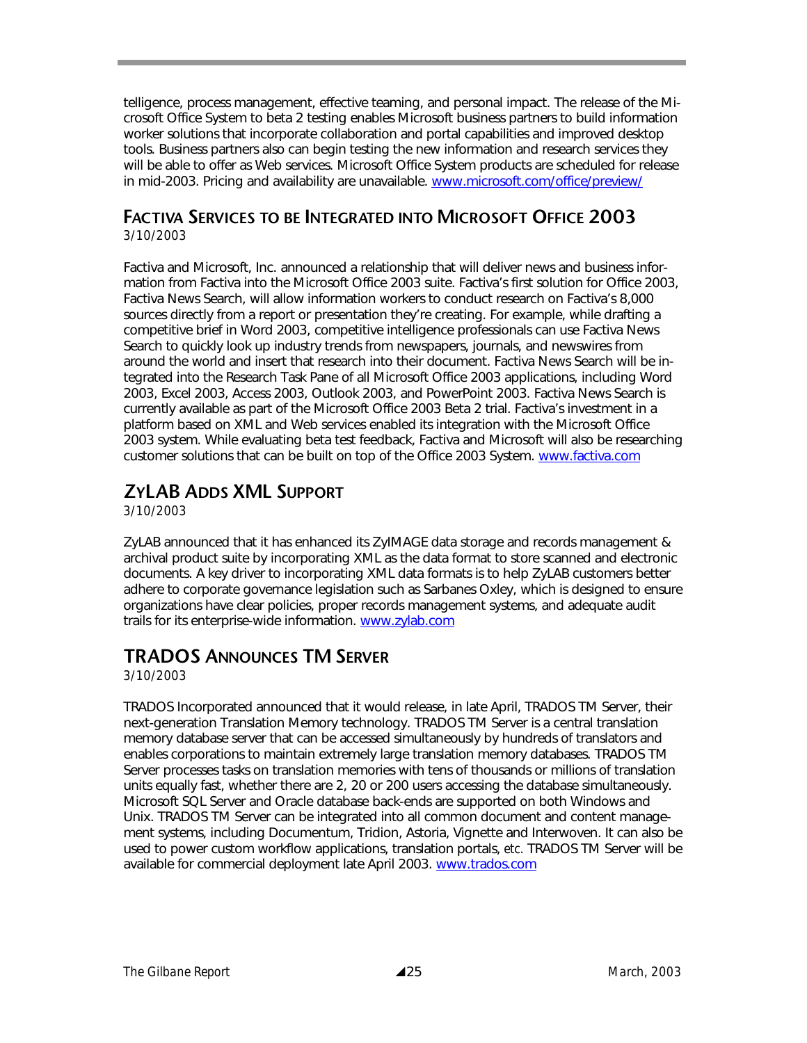telligence, process management, effective teaming, and personal impact. The release of the Microsoft Office System to beta 2 testing enables Microsoft business partners to build information worker solutions that incorporate collaboration and portal capabilities and improved desktop tools. Business partners also can begin testing the new information and research services they will be able to offer as Web services. Microsoft Office System products are scheduled for release in mid-2003. Pricing and availability are unavailable. www.microsoft.com/office/preview/

# **FACTIVA SERVICES TO BE INTEGRATED INTO MICROSOFT OFFICE 2003**

*3/10/2003* 

Factiva and Microsoft, Inc. announced a relationship that will deliver news and business information from Factiva into the Microsoft Office 2003 suite. Factiva's first solution for Office 2003, Factiva News Search, will allow information workers to conduct research on Factiva's 8,000 sources directly from a report or presentation they're creating. For example, while drafting a competitive brief in Word 2003, competitive intelligence professionals can use Factiva News Search to quickly look up industry trends from newspapers, journals, and newswires from around the world and insert that research into their document. Factiva News Search will be integrated into the Research Task Pane of all Microsoft Office 2003 applications, including Word 2003, Excel 2003, Access 2003, Outlook 2003, and PowerPoint 2003. Factiva News Search is currently available as part of the Microsoft Office 2003 Beta 2 trial. Factiva's investment in a platform based on XML and Web services enabled its integration with the Microsoft Office 2003 system. While evaluating beta test feedback, Factiva and Microsoft will also be researching customer solutions that can be built on top of the Office 2003 System. www.factiva.com

## **ZYLAB ADDS XML SUPPORT**

*3/10/2003* 

ZyLAB announced that it has enhanced its ZyIMAGE data storage and records management & archival product suite by incorporating XML as the data format to store scanned and electronic documents. A key driver to incorporating XML data formats is to help ZyLAB customers better adhere to corporate governance legislation such as Sarbanes Oxley, which is designed to ensure organizations have clear policies, proper records management systems, and adequate audit trails for its enterprise-wide information. www.zylab.com

## **TRADOS ANNOUNCES TM SERVER**

*3/10/2003* 

TRADOS Incorporated announced that it would release, in late April, TRADOS TM Server, their next-generation Translation Memory technology. TRADOS TM Server is a central translation memory database server that can be accessed simultaneously by hundreds of translators and enables corporations to maintain extremely large translation memory databases. TRADOS TM Server processes tasks on translation memories with tens of thousands or millions of translation units equally fast, whether there are 2, 20 or 200 users accessing the database simultaneously. Microsoft SQL Server and Oracle database back-ends are supported on both Windows and Unix. TRADOS TM Server can be integrated into all common document and content management systems, including Documentum, Tridion, Astoria, Vignette and Interwoven. It can also be used to power custom workflow applications, translation portals, *etc.* TRADOS TM Server will be available for commercial deployment late April 2003. www.trados.com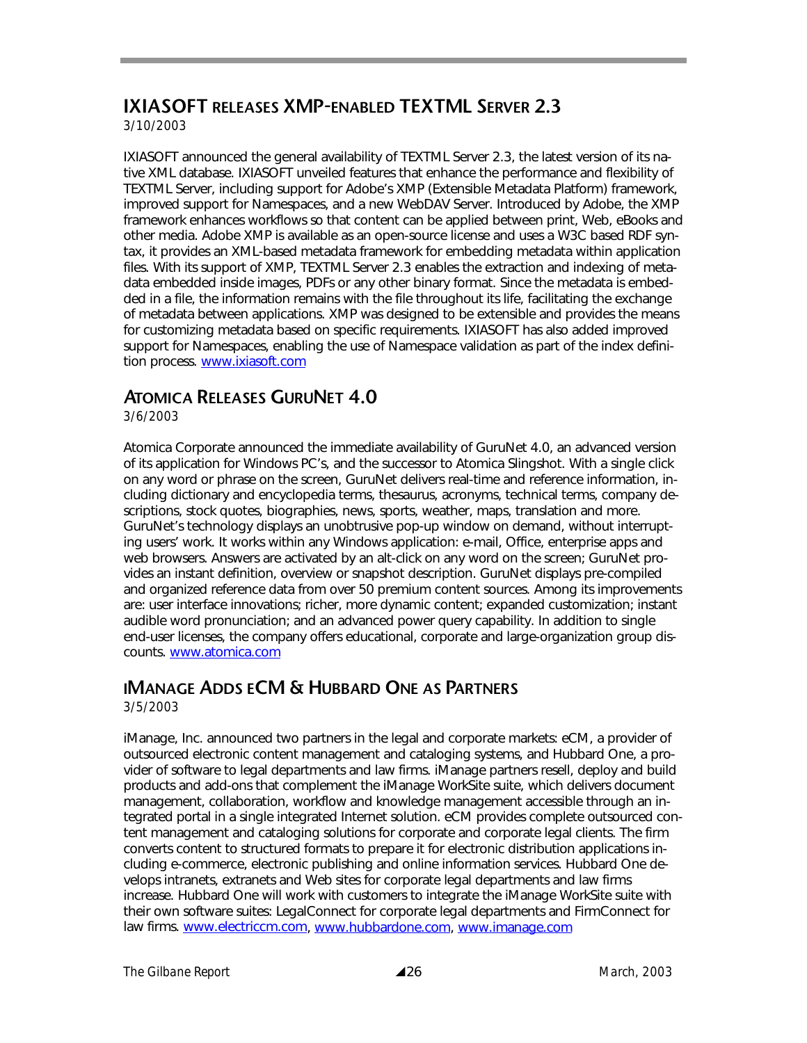## **IXIASOFT RELEASES XMP-ENABLED TEXTML SERVER 2.3**

*3/10/2003* 

IXIASOFT announced the general availability of TEXTML Server 2.3, the latest version of its native XML database. IXIASOFT unveiled features that enhance the performance and flexibility of TEXTML Server, including support for Adobe's XMP (Extensible Metadata Platform) framework, improved support for Namespaces, and a new WebDAV Server. Introduced by Adobe, the XMP framework enhances workflows so that content can be applied between print, Web, eBooks and other media. Adobe XMP is available as an open-source license and uses a W3C based RDF syntax, it provides an XML-based metadata framework for embedding metadata within application files. With its support of XMP, TEXTML Server 2.3 enables the extraction and indexing of metadata embedded inside images, PDFs or any other binary format. Since the metadata is embedded in a file, the information remains with the file throughout its life, facilitating the exchange of metadata between applications. XMP was designed to be extensible and provides the means for customizing metadata based on specific requirements. IXIASOFT has also added improved support for Namespaces, enabling the use of Namespace validation as part of the index definition process. www.ixiasoft.com

#### **ATOMICA RELEASES GURUNET 4.0**

*3/6/2003* 

Atomica Corporate announced the immediate availability of GuruNet 4.0, an advanced version of its application for Windows PC's, and the successor to Atomica Slingshot. With a single click on any word or phrase on the screen, GuruNet delivers real-time and reference information, including dictionary and encyclopedia terms, thesaurus, acronyms, technical terms, company descriptions, stock quotes, biographies, news, sports, weather, maps, translation and more. GuruNet's technology displays an unobtrusive pop-up window on demand, without interrupting users' work. It works within any Windows application: e-mail, Office, enterprise apps and web browsers. Answers are activated by an alt-click on any word on the screen; GuruNet provides an instant definition, overview or snapshot description. GuruNet displays pre-compiled and organized reference data from over 50 premium content sources. Among its improvements are: user interface innovations; richer, more dynamic content; expanded customization; instant audible word pronunciation; and an advanced power query capability. In addition to single end-user licenses, the company offers educational, corporate and large-organization group discounts. www.atomica.com

### **IMANAGE ADDS ECM & HUBBARD ONE AS PARTNERS**

*3/5/2003* 

iManage, Inc. announced two partners in the legal and corporate markets: eCM, a provider of outsourced electronic content management and cataloging systems, and Hubbard One, a provider of software to legal departments and law firms. iManage partners resell, deploy and build products and add-ons that complement the iManage WorkSite suite, which delivers document management, collaboration, workflow and knowledge management accessible through an integrated portal in a single integrated Internet solution. eCM provides complete outsourced content management and cataloging solutions for corporate and corporate legal clients. The firm converts content to structured formats to prepare it for electronic distribution applications including e-commerce, electronic publishing and online information services. Hubbard One develops intranets, extranets and Web sites for corporate legal departments and law firms increase. Hubbard One will work with customers to integrate the iManage WorkSite suite with their own software suites: LegalConnect for corporate legal departments and FirmConnect for law firms. www.electriccm.com, www.hubbardone.com, www.imanage.com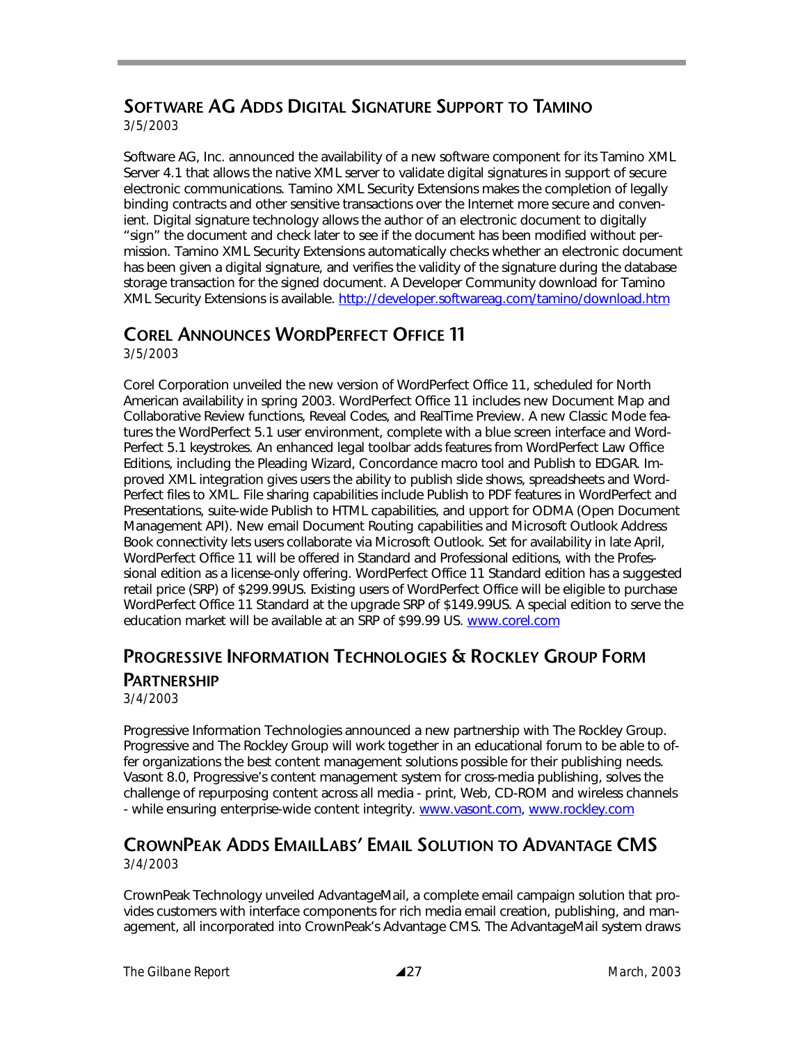## **SOFTWARE AG ADDS DIGITAL SIGNATURE SUPPORT TO TAMINO**

*3/5/2003* 

Software AG, Inc. announced the availability of a new software component for its Tamino XML Server 4.1 that allows the native XML server to validate digital signatures in support of secure electronic communications. Tamino XML Security Extensions makes the completion of legally binding contracts and other sensitive transactions over the Internet more secure and convenient. Digital signature technology allows the author of an electronic document to digitally "sign" the document and check later to see if the document has been modified without permission. Tamino XML Security Extensions automatically checks whether an electronic document has been given a digital signature, and verifies the validity of the signature during the database storage transaction for the signed document. A Developer Community download for Tamino XML Security Extensions is available. http://developer.softwareag.com/tamino/download.htm

## **COREL ANNOUNCES WORDPERFECT OFFICE 11**

*3/5/2003* 

Corel Corporation unveiled the new version of WordPerfect Office 11, scheduled for North American availability in spring 2003. WordPerfect Office 11 includes new Document Map and Collaborative Review functions, Reveal Codes, and RealTime Preview. A new Classic Mode features the WordPerfect 5.1 user environment, complete with a blue screen interface and Word-Perfect 5.1 keystrokes. An enhanced legal toolbar adds features from WordPerfect Law Office Editions, including the Pleading Wizard, Concordance macro tool and Publish to EDGAR. Improved XML integration gives users the ability to publish slide shows, spreadsheets and Word-Perfect files to XML. File sharing capabilities include Publish to PDF features in WordPerfect and Presentations, suite-wide Publish to HTML capabilities, and upport for ODMA (Open Document Management API). New email Document Routing capabilities and Microsoft Outlook Address Book connectivity lets users collaborate via Microsoft Outlook. Set for availability in late April, WordPerfect Office 11 will be offered in Standard and Professional editions, with the Professional edition as a license-only offering. WordPerfect Office 11 Standard edition has a suggested retail price (SRP) of \$299.99US. Existing users of WordPerfect Office will be eligible to purchase WordPerfect Office 11 Standard at the upgrade SRP of \$149.99US. A special edition to serve the education market will be available at an SRP of \$99.99 US. www.corel.com

## **PROGRESSIVE INFORMATION TECHNOLOGIES & ROCKLEY GROUP FORM PARTNERSHIP**

*3/4/2003* 

Progressive Information Technologies announced a new partnership with The Rockley Group. Progressive and The Rockley Group will work together in an educational forum to be able to offer organizations the best content management solutions possible for their publishing needs. Vasont 8.0, Progressive's content management system for cross-media publishing, solves the challenge of repurposing content across all media - print, Web, CD-ROM and wireless channels - while ensuring enterprise-wide content integrity. www.vasont.com, www.rockley.com

#### **CROWNPEAK ADDS EMAILLABS' EMAIL SOLUTION TO ADVANTAGE CMS**  *3/4/2003*

CrownPeak Technology unveiled AdvantageMail, a complete email campaign solution that provides customers with interface components for rich media email creation, publishing, and management, all incorporated into CrownPeak's Advantage CMS. The AdvantageMail system draws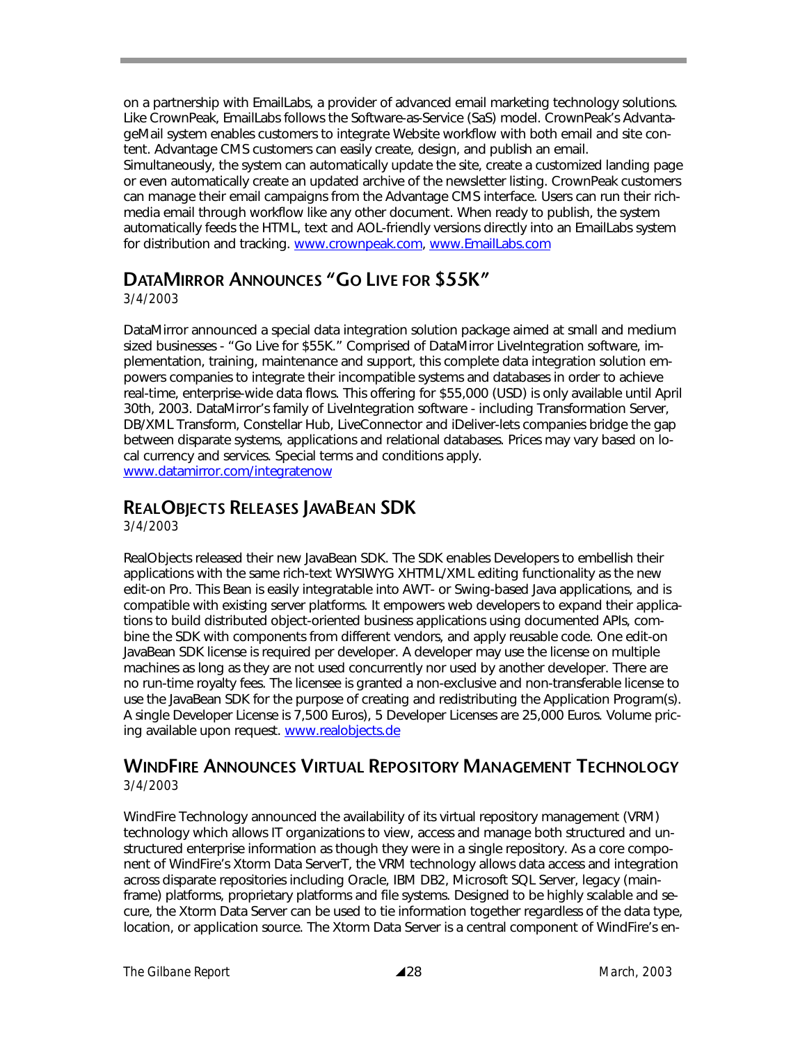on a partnership with EmailLabs, a provider of advanced email marketing technology solutions. Like CrownPeak, EmailLabs follows the Software-as-Service (SaS) model. CrownPeak's AdvantageMail system enables customers to integrate Website workflow with both email and site content. Advantage CMS customers can easily create, design, and publish an email. Simultaneously, the system can automatically update the site, create a customized landing page or even automatically create an updated archive of the newsletter listing. CrownPeak customers can manage their email campaigns from the Advantage CMS interface. Users can run their richmedia email through workflow like any other document. When ready to publish, the system automatically feeds the HTML, text and AOL-friendly versions directly into an EmailLabs system for distribution and tracking. www.crownpeak.com, www.EmailLabs.com

## **DATAMIRROR ANNOUNCES "GO LIVE FOR \$55K"**

*3/4/2003* 

DataMirror announced a special data integration solution package aimed at small and medium sized businesses - "Go Live for \$55K." Comprised of DataMirror LiveIntegration software, implementation, training, maintenance and support, this complete data integration solution empowers companies to integrate their incompatible systems and databases in order to achieve real-time, enterprise-wide data flows. This offering for \$55,000 (USD) is only available until April 30th, 2003. DataMirror's family of LiveIntegration software - including Transformation Server, DB/XML Transform, Constellar Hub, LiveConnector and iDeliver-lets companies bridge the gap between disparate systems, applications and relational databases. Prices may vary based on local currency and services. Special terms and conditions apply. www.datamirror.com/integratenow

#### **REALOBJECTS RELEASES JAVABEAN SDK**

*3/4/2003* 

RealObjects released their new JavaBean SDK. The SDK enables Developers to embellish their applications with the same rich-text WYSIWYG XHTML/XML editing functionality as the new edit-on Pro. This Bean is easily integratable into AWT- or Swing-based Java applications, and is compatible with existing server platforms. It empowers web developers to expand their applications to build distributed object-oriented business applications using documented APIs, combine the SDK with components from different vendors, and apply reusable code. One edit-on JavaBean SDK license is required per developer. A developer may use the license on multiple machines as long as they are not used concurrently nor used by another developer. There are no run-time royalty fees. The licensee is granted a non-exclusive and non-transferable license to use the JavaBean SDK for the purpose of creating and redistributing the Application Program(s). A single Developer License is 7,500 Euros), 5 Developer Licenses are 25,000 Euros. Volume pricing available upon request. www.realobjects.de

#### **WINDFIRE ANNOUNCES VIRTUAL REPOSITORY MANAGEMENT TECHNOLOGY** *3/4/2003*

WindFire Technology announced the availability of its virtual repository management (VRM) technology which allows IT organizations to view, access and manage both structured and unstructured enterprise information as though they were in a single repository. As a core component of WindFire's Xtorm Data ServerT, the VRM technology allows data access and integration across disparate repositories including Oracle, IBM DB2, Microsoft SQL Server, legacy (mainframe) platforms, proprietary platforms and file systems. Designed to be highly scalable and secure, the Xtorm Data Server can be used to tie information together regardless of the data type, location, or application source. The Xtorm Data Server is a central component of WindFire's en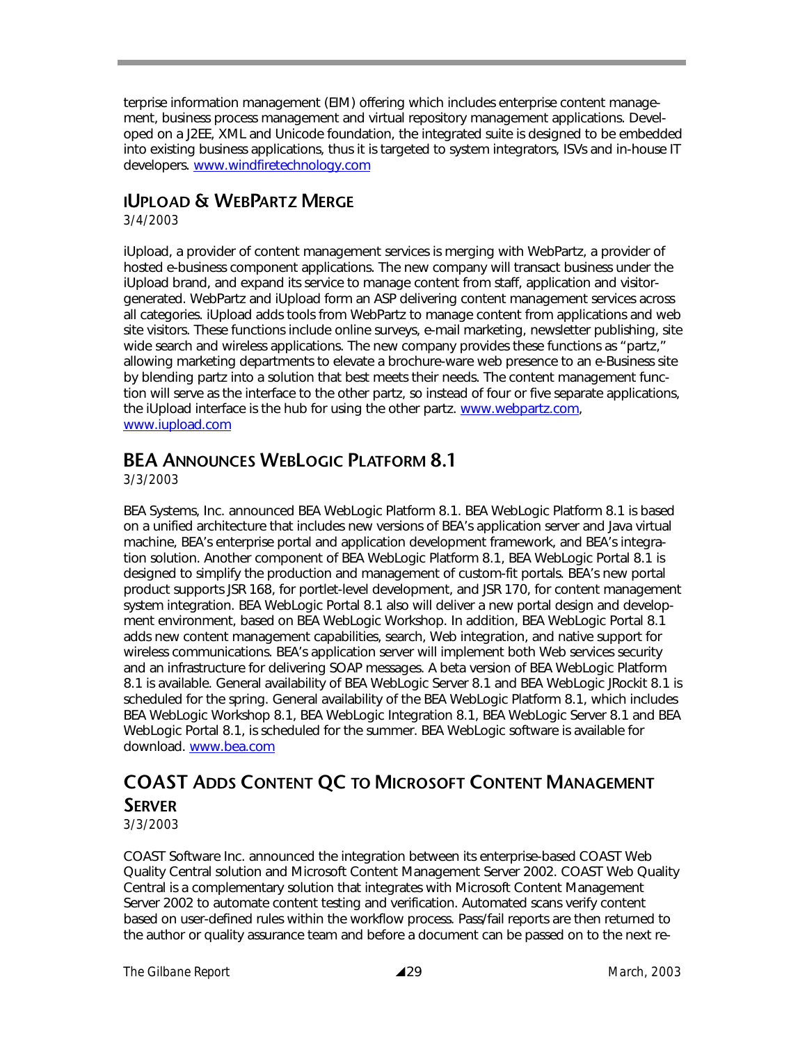terprise information management (EIM) offering which includes enterprise content management, business process management and virtual repository management applications. Developed on a J2EE, XML and Unicode foundation, the integrated suite is designed to be embedded into existing business applications, thus it is targeted to system integrators, ISVs and in-house IT developers. www.windfiretechnology.com

## **IUPLOAD & WEBPARTZ MERGE**

*3/4/2003* 

iUpload, a provider of content management services is merging with WebPartz, a provider of hosted e-business component applications. The new company will transact business under the iUpload brand, and expand its service to manage content from staff, application and visitorgenerated. WebPartz and iUpload form an ASP delivering content management services across all categories. iUpload adds tools from WebPartz to manage content from applications and web site visitors. These functions include online surveys, e-mail marketing, newsletter publishing, site wide search and wireless applications. The new company provides these functions as "partz," allowing marketing departments to elevate a brochure-ware web presence to an e-Business site by blending partz into a solution that best meets their needs. The content management function will serve as the interface to the other partz, so instead of four or five separate applications, the iUpload interface is the hub for using the other partz. www.webpartz.com, www.iupload.com

## **BEA ANNOUNCES WEBLOGIC PLATFORM 8.1**

*3/3/2003* 

BEA Systems, Inc. announced BEA WebLogic Platform 8.1. BEA WebLogic Platform 8.1 is based on a unified architecture that includes new versions of BEA's application server and Java virtual machine, BEA's enterprise portal and application development framework, and BEA's integration solution. Another component of BEA WebLogic Platform 8.1, BEA WebLogic Portal 8.1 is designed to simplify the production and management of custom-fit portals. BEA's new portal product supports JSR 168, for portlet-level development, and JSR 170, for content management system integration. BEA WebLogic Portal 8.1 also will deliver a new portal design and development environment, based on BEA WebLogic Workshop. In addition, BEA WebLogic Portal 8.1 adds new content management capabilities, search, Web integration, and native support for wireless communications. BEA's application server will implement both Web services security and an infrastructure for delivering SOAP messages. A beta version of BEA WebLogic Platform 8.1 is available. General availability of BEA WebLogic Server 8.1 and BEA WebLogic JRockit 8.1 is scheduled for the spring. General availability of the BEA WebLogic Platform 8.1, which includes BEA WebLogic Workshop 8.1, BEA WebLogic Integration 8.1, BEA WebLogic Server 8.1 and BEA WebLogic Portal 8.1, is scheduled for the summer. BEA WebLogic software is available for download. www.bea.com

## **COAST ADDS CONTENT QC TO MICROSOFT CONTENT MANAGEMENT SERVER**

*3/3/2003* 

COAST Software Inc. announced the integration between its enterprise-based COAST Web Quality Central solution and Microsoft Content Management Server 2002. COAST Web Quality Central is a complementary solution that integrates with Microsoft Content Management Server 2002 to automate content testing and verification. Automated scans verify content based on user-defined rules within the workflow process. Pass/fail reports are then returned to the author or quality assurance team and before a document can be passed on to the next re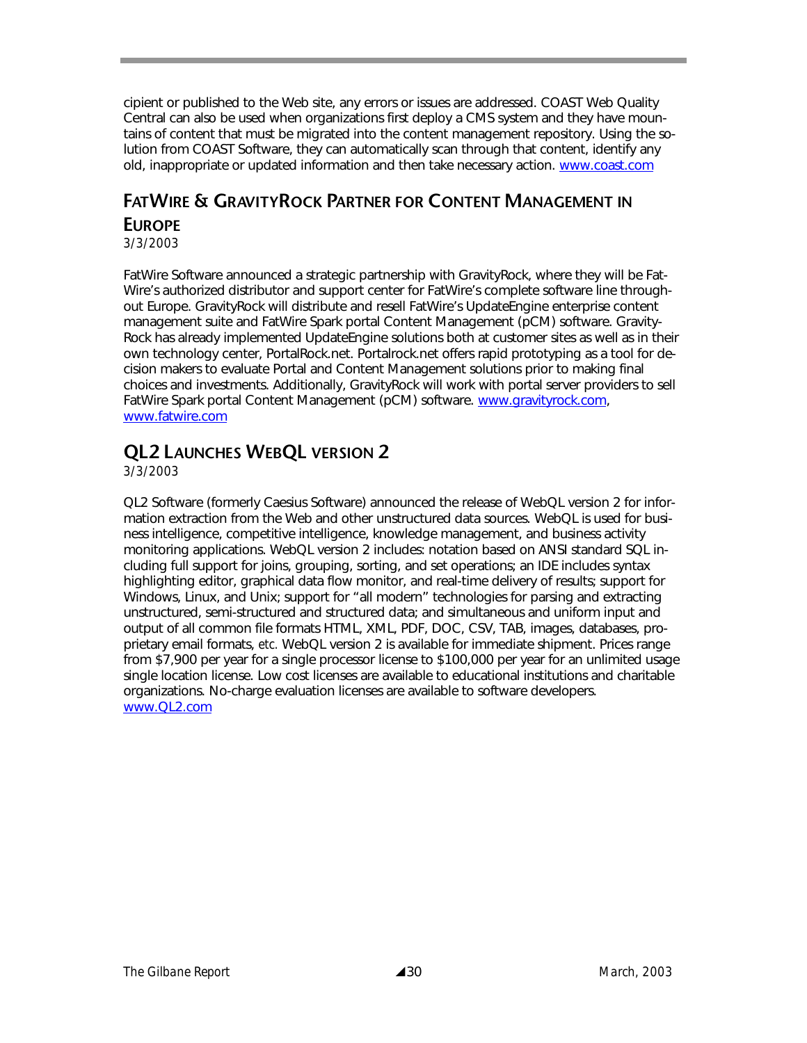cipient or published to the Web site, any errors or issues are addressed. COAST Web Quality Central can also be used when organizations first deploy a CMS system and they have mountains of content that must be migrated into the content management repository. Using the solution from COAST Software, they can automatically scan through that content, identify any old, inappropriate or updated information and then take necessary action. www.coast.com

## **FATWIRE & GRAVITYROCK PARTNER FOR CONTENT MANAGEMENT IN EUROPE**

*3/3/2003* 

FatWire Software announced a strategic partnership with GravityRock, where they will be Fat-Wire's authorized distributor and support center for FatWire's complete software line throughout Europe. GravityRock will distribute and resell FatWire's UpdateEngine enterprise content management suite and FatWire Spark portal Content Management (pCM) software. Gravity-Rock has already implemented UpdateEngine solutions both at customer sites as well as in their own technology center, PortalRock.net. Portalrock.net offers rapid prototyping as a tool for decision makers to evaluate Portal and Content Management solutions prior to making final choices and investments. Additionally, GravityRock will work with portal server providers to sell FatWire Spark portal Content Management (pCM) software. www.gravityrock.com, www.fatwire.com

## **QL2 LAUNCHES WEBQL VERSION 2**

*3/3/2003* 

QL2 Software (formerly Caesius Software) announced the release of WebQL version 2 for information extraction from the Web and other unstructured data sources. WebQL is used for business intelligence, competitive intelligence, knowledge management, and business activity monitoring applications. WebQL version 2 includes: notation based on ANSI standard SQL including full support for joins, grouping, sorting, and set operations; an IDE includes syntax highlighting editor, graphical data flow monitor, and real-time delivery of results; support for Windows, Linux, and Unix; support for "all modern" technologies for parsing and extracting unstructured, semi-structured and structured data; and simultaneous and uniform input and output of all common file formats HTML, XML, PDF, DOC, CSV, TAB, images, databases, proprietary email formats, *etc.* WebQL version 2 is available for immediate shipment. Prices range from \$7,900 per year for a single processor license to \$100,000 per year for an unlimited usage single location license. Low cost licenses are available to educational institutions and charitable organizations. No-charge evaluation licenses are available to software developers. www.QL2.com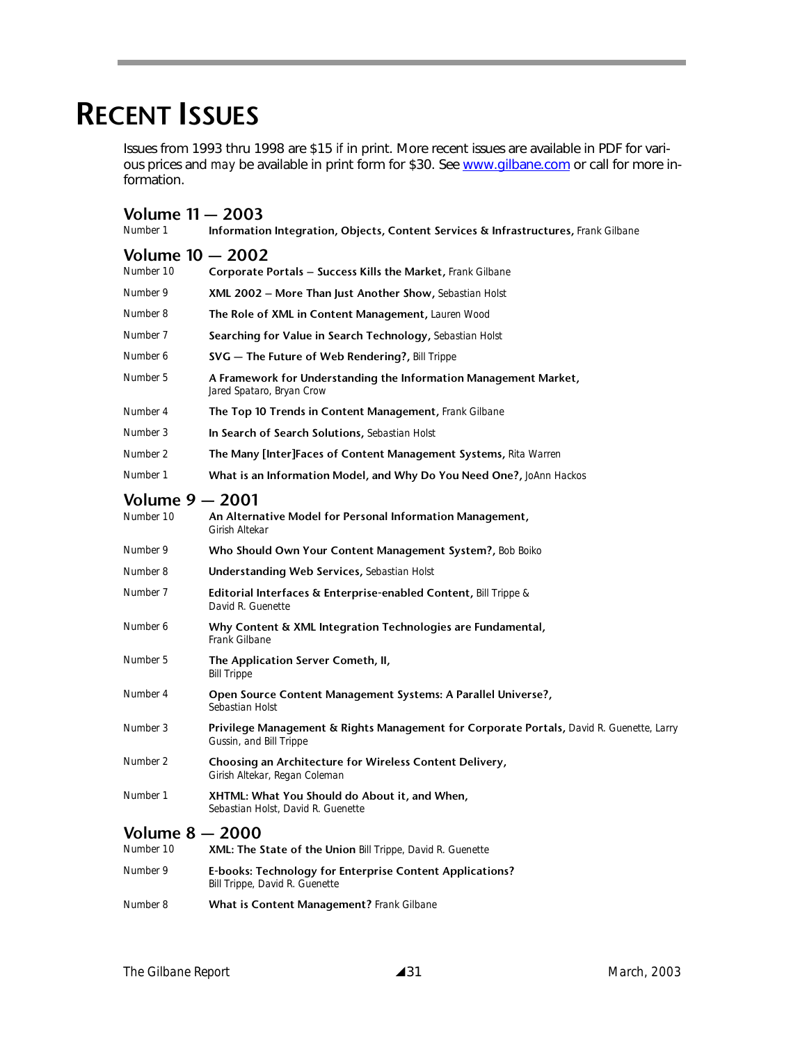# **RECENT ISSUES**

Issues from 1993 thru 1998 are \$15 *if* in print. More recent issues are available in PDF for various prices and *may* be available in print form for \$30. See www.gilbane.com or call for more information.

| <b>Volume 11 - 2003</b><br>Number 1 | <b>Information Integration, Objects, Content Services &amp; Infrastructures, Frank Gilbane</b>                      |  |  |  |
|-------------------------------------|---------------------------------------------------------------------------------------------------------------------|--|--|--|
| <b>Volume 10 - 2002</b>             |                                                                                                                     |  |  |  |
| Number 10                           | Corporate Portals - Success Kills the Market, Frank Gilbane                                                         |  |  |  |
| Number 9                            | <b>XML 2002 – More Than Just Another Show, Sebastian Holst</b>                                                      |  |  |  |
| Number 8                            | <b>The Role of XML in Content Management, Lauren Wood</b>                                                           |  |  |  |
| Number 7                            | <b>Searching for Value in Search Technology, Sebastian Holst</b>                                                    |  |  |  |
| Number 6                            | SVG - The Future of Web Rendering?, Bill Trippe                                                                     |  |  |  |
| Number 5                            | A Framework for Understanding the Information Management Market,<br>Jared Spataro, Bryan Crow                       |  |  |  |
| Number 4                            | The Top 10 Trends in Content Management, Frank Gilbane                                                              |  |  |  |
| Number 3                            | In Search of Search Solutions, Sebastian Holst                                                                      |  |  |  |
| Number 2                            | <b>The Many [Inter]Faces of Content Management Systems, Rita Warren</b>                                             |  |  |  |
| Number 1                            | What is an Information Model, and Why Do You Need One?, JoAnn Hackos                                                |  |  |  |
| Volume 9 - 2001<br>Number 10        | An Alternative Model for Personal Information Management,<br>Girish Altekar                                         |  |  |  |
| Number 9                            | Who Should Own Your Content Management System?, Bob Boiko                                                           |  |  |  |
| Number 8                            | <b>Understanding Web Services, Sebastian Holst</b>                                                                  |  |  |  |
| Number 7                            | Editorial Interfaces & Enterprise-enabled Content, Bill Trippe &<br>David R. Guenette                               |  |  |  |
| Number 6                            | Why Content & XML Integration Technologies are Fundamental,<br><b>Frank Gilbane</b>                                 |  |  |  |
| Number 5                            | The Application Server Cometh, II,<br><b>Bill Trippe</b>                                                            |  |  |  |
| Number 4                            | Open Source Content Management Systems: A Parallel Universe?,<br>Sebastian Holst                                    |  |  |  |
| Number 3                            | Privilege Management & Rights Management for Corporate Portals, David R. Guenette, Larry<br>Gussin, and Bill Trippe |  |  |  |
| Number 2                            | Choosing an Architecture for Wireless Content Delivery,<br>Girish Altekar, Regan Coleman                            |  |  |  |
| Number 1                            | XHTML: What You Should do About it, and When,<br>Sebastian Holst, David R. Guenette                                 |  |  |  |
| <b>Volume 8 - 2000</b><br>Number 10 | XML: The State of the Union Bill Trippe, David R. Guenette                                                          |  |  |  |
| Number 9                            | E-books: Technology for Enterprise Content Applications?<br>Bill Trippe, David R. Guenette                          |  |  |  |

*Number 8* **What is Content Management?** *Frank Gilbane*